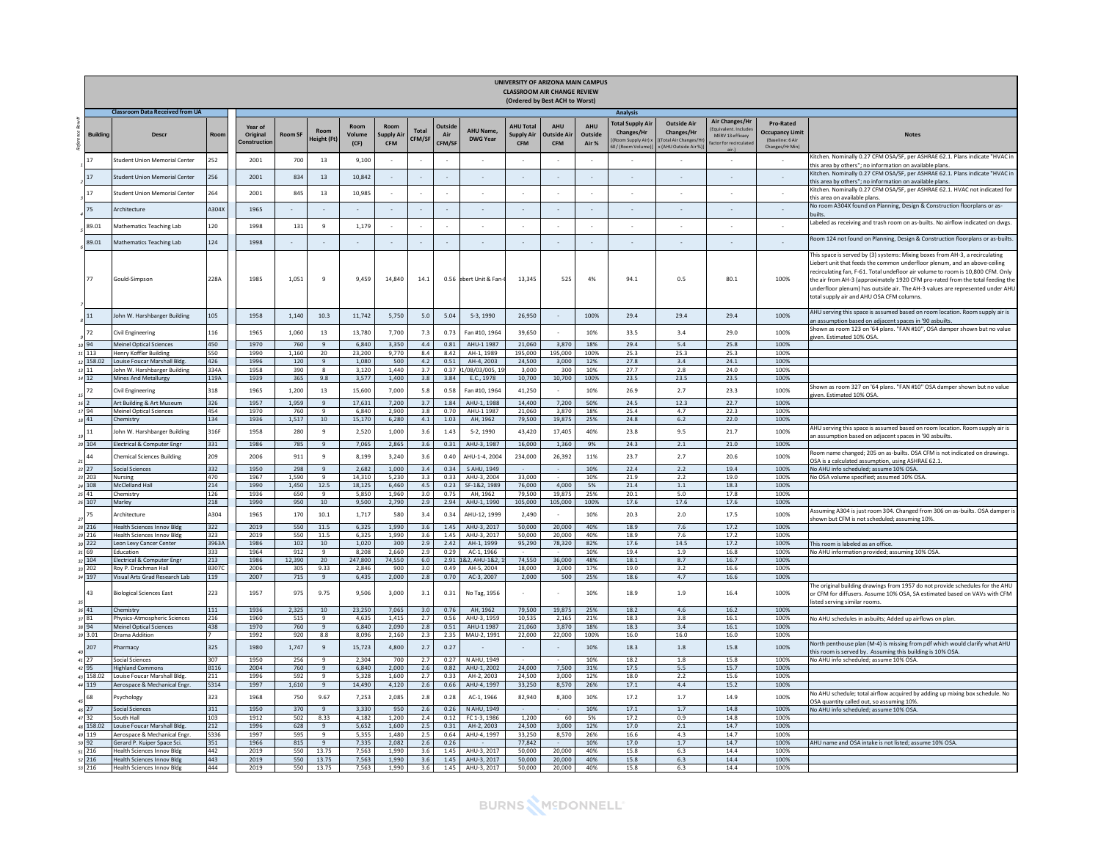|                 |                                                                  |              |                                   |                |                                           |                        |                                |                          |                         |                              |                                                     | UNIVERSITY OF ARIZONA MAIN CAMPUS<br><b>CLASSROOM AIR CHANGE REVIEW</b><br>(Ordered by Best ACH to Worst) |                               |                                                                              |                                                                                              |                                                                    |                                                                                   |                                                                                                                                                                                                                                                                                                                                                                                                                                                               |
|-----------------|------------------------------------------------------------------|--------------|-----------------------------------|----------------|-------------------------------------------|------------------------|--------------------------------|--------------------------|-------------------------|------------------------------|-----------------------------------------------------|-----------------------------------------------------------------------------------------------------------|-------------------------------|------------------------------------------------------------------------------|----------------------------------------------------------------------------------------------|--------------------------------------------------------------------|-----------------------------------------------------------------------------------|---------------------------------------------------------------------------------------------------------------------------------------------------------------------------------------------------------------------------------------------------------------------------------------------------------------------------------------------------------------------------------------------------------------------------------------------------------------|
|                 | <b>Classroom Data Received from UA</b>                           |              |                                   |                |                                           |                        |                                |                          |                         |                              |                                                     |                                                                                                           |                               | Analysis                                                                     |                                                                                              |                                                                    |                                                                                   |                                                                                                                                                                                                                                                                                                                                                                                                                                                               |
| <b>Building</b> | <b>Descr</b>                                                     | Room         | Year of<br>Original<br>onstructio | <b>Room SF</b> | Room<br>leight (Ft                        | Room<br>Volume<br>(CF) | Room<br>upply Ai<br><b>CFM</b> | <b>Total</b><br>CFM/SF   | Outside<br>Air<br>CFM/S | AHU Name,<br><b>DWG Year</b> | <b>AHU Total</b><br><b>Supply Air</b><br><b>CFM</b> | <b>AHU</b><br><b>Dutside Ai</b><br><b>CFM</b>                                                             | <b>AHU</b><br>Outside<br>Air% | <b>Total Supply Air</b><br>Changes/Hr<br>Room Supply Air):<br>0/(Room Volume | <b>Outside Air</b><br><b>Changes/Hr</b><br><b>Total Air Changes/H</b><br>(AHU Outside Air %) | <b>Air Changes/Hr</b><br>MERV 13 efficacy<br>actor for recirculate | <b>Pro-Rated</b><br><b>Occupancy Limit</b><br>(Baseline: 6 Air<br>Changes/Hr Min) | <b>Notes</b>                                                                                                                                                                                                                                                                                                                                                                                                                                                  |
|                 | tudent Union Memorial Center                                     | 252          | 2001                              | 700            | 13                                        | 9,100                  |                                |                          |                         |                              |                                                     |                                                                                                           |                               |                                                                              |                                                                                              |                                                                    |                                                                                   | Kitchen. Nominally 0.27 CFM OSA/SF, per ASHRAE 62.1. Plans indicate "HVAC in                                                                                                                                                                                                                                                                                                                                                                                  |
|                 |                                                                  |              |                                   |                |                                           |                        |                                |                          |                         |                              |                                                     |                                                                                                           |                               |                                                                              |                                                                                              |                                                                    |                                                                                   | this area by others"; no information on available plans.<br>Kitchen. Nominally 0.27 CFM OSA/SF, per ASHRAE 62.1. Plans indicate "HVAC in                                                                                                                                                                                                                                                                                                                      |
|                 | tudent Union Memorial Center                                     | 256          | 2001                              | 834            | 13                                        | 10.842                 |                                |                          |                         |                              |                                                     |                                                                                                           | $\sim$                        |                                                                              |                                                                                              |                                                                    | $\sim$                                                                            | this area by others": no information on available plans.                                                                                                                                                                                                                                                                                                                                                                                                      |
|                 | tudent Union Memorial Center                                     | 264          | 2001                              | 845            | 13                                        | 10,985                 |                                |                          |                         |                              |                                                     | $\epsilon$                                                                                                | $\sim$                        | ٠                                                                            |                                                                                              |                                                                    |                                                                                   | Kitchen. Nominally 0.27 CFM OSA/SF, per ASHRAE 62.1. HVAC not indicated for<br>this area on available plans.                                                                                                                                                                                                                                                                                                                                                  |
|                 | Architecture                                                     | A304X        | 1965                              |                |                                           | $\sim$                 |                                |                          | $\sim$                  |                              | $\sim$                                              | $\sim$                                                                                                    | $\sim$                        |                                                                              |                                                                                              |                                                                    |                                                                                   | No room A304X found on Planning, Design & Construction floorplans or as-                                                                                                                                                                                                                                                                                                                                                                                      |
|                 |                                                                  |              |                                   | $\sim$         |                                           |                        | $\sim$                         | $\overline{\phantom{a}}$ |                         | $\sim$                       |                                                     |                                                                                                           |                               | $\sim$                                                                       | $\sim$                                                                                       | $\sim$                                                             | $\sim$                                                                            | <b>puilts</b>                                                                                                                                                                                                                                                                                                                                                                                                                                                 |
| 89.01           | Mathematics Teaching Lab                                         | 120          | 1998                              | 131            | $\overline{9}$                            | 1.179                  |                                |                          |                         |                              |                                                     | $\sim$                                                                                                    |                               |                                                                              |                                                                                              |                                                                    |                                                                                   | Labeled as receiving and trash room on as-builts. No airflow indicated on dwgs.                                                                                                                                                                                                                                                                                                                                                                               |
| 39.01           | Mathematics Teaching Lab                                         | 124          | 1998                              | $\sim$         | $\sim$                                    |                        | $\sim$                         | $\sim$                   |                         |                              |                                                     | $\sim$                                                                                                    | $\sim$                        | $\sim$                                                                       | $\sim$                                                                                       | $\sim$                                                             | $\sim$                                                                            | Room 124 not found on Planning, Design & Construction floorplans or as-builts.                                                                                                                                                                                                                                                                                                                                                                                |
| 77              | Gould-Simpson                                                    | 228A         | 1985                              | 1,051          | $\overline{9}$                            | 9,459                  | 14,840                         | 14.1                     | 0.56                    | ebert Unit & Fan             | 13,345                                              | 525                                                                                                       | 4%                            | 94.1                                                                         | 0.5                                                                                          | 80.1                                                               | 100%                                                                              | This space is served by (3) systems: Mixing boxes from AH-3, a recirculating<br>Liebert unit that feeds the common underfloor plenum, and an above-ceiling<br>recirculating fan, F-61. Total undefloor air volume to room is 10,800 CFM. Only<br>the air from AH-3 (approximately 1920 CFM pro-rated from the total feeding the<br>inderfloor plenum) has outside air. The AH-3 values are represented under AHU<br>total supply air and AHU OSA CFM columns. |
|                 | ohn W. Harshbarger Building                                      | 105          | 1958                              | 1,140          | 10.3                                      | 11,742                 | 5,750                          | 5.0                      | 5.04                    | S-3, 1990                    | 26,950                                              |                                                                                                           | 100%                          | 29.4                                                                         | 29.4                                                                                         | 29.4                                                               | 100%                                                                              | AHU serving this space is assumed based on room location. Room supply air is<br>In assumption based on adjacent spaces in '90 asbuilts                                                                                                                                                                                                                                                                                                                        |
| 72              | Civil Engineering                                                | 116          | 1965                              | 1.060          | 13                                        | 13,780                 | 7.700                          | 7.3                      | 0.73                    | Fan #10, 1964                | 39,650                                              |                                                                                                           | 10%                           | 33.5                                                                         | 3.4                                                                                          | 29.0                                                               | 100%                                                                              | Shown as room 123 on '64 plans. "FAN #10", OSA damper shown but no value                                                                                                                                                                                                                                                                                                                                                                                      |
| 94              | <b>Meinel Ontical Sciences</b>                                   | 450          | 1970                              | 760            | $\mathbf{q}$                              | 6.840                  | 3.350                          | 4.4                      | 0.81                    | AHU-1 1987                   | 21.060                                              | 3.870                                                                                                     | 18%                           | 29.4                                                                         | 5.4                                                                                          | 25.8                                                               | 100%                                                                              | tiven. Estimated 10% OSA.                                                                                                                                                                                                                                                                                                                                                                                                                                     |
| 113             | lenry Koffler Building                                           | 550          | 1990                              | 1,160          | 20                                        | 23,200                 | 9,770                          | 8.4                      | 8.42                    | AH-1, 1989                   | 195,000                                             | 195,000                                                                                                   | 100%                          | 25.3                                                                         | 25.3                                                                                         | 25.3                                                               | 100%                                                                              |                                                                                                                                                                                                                                                                                                                                                                                                                                                               |
| 158.02<br>11    | ouise Foucar Marshall Bldg.                                      | 426          | 1996                              | 120<br>390     | $\overline{q}$<br>$\overline{\mathbf{g}}$ | 1,080                  | 500<br>1.440                   | 4.2                      | 0.51                    | AH-4, 2003                   | 24,500<br>3.000                                     | 3,000                                                                                                     | 12%                           | 27.8                                                                         | 3.4                                                                                          | 24.1                                                               | 100%                                                                              |                                                                                                                                                                                                                                                                                                                                                                                                                                                               |
| 12              | ohn W. Harshbarger Building<br>Mines And Metallurgy              | 334A<br>119A | 1958<br>1939                      | 365            | 9.8                                       | 3,120<br>3,577         | 1,400                          | 3.7<br>3.8               | 0.37<br>3.84            | 08/03/005, 1<br>E.C., 1978   | 10,700                                              | 300<br>10,700                                                                                             | 10%<br>100%                   | 27.7<br>23.5                                                                 | 2.8<br>23.5                                                                                  | 24.0<br>23.5                                                       | 100%<br>100%                                                                      |                                                                                                                                                                                                                                                                                                                                                                                                                                                               |
| 72              | ivil Engineering                                                 | 318          | 1965                              | 1,200          | 13                                        | 15,600                 | 7,000                          | 5.8                      | 0.58                    | Fan #10, 1964                | 41,250                                              |                                                                                                           | 10%                           | 26.9                                                                         | 2.7                                                                                          | 23.3                                                               | 100%                                                                              | hown as room 327 on '64 plans. "FAN #10" OSA damper shown but no value<br>ven. Estimated 10% OSA                                                                                                                                                                                                                                                                                                                                                              |
|                 | Art Building & Art Museum                                        | 326          | 1957                              | 1,959          | $\overline{9}$                            | 17.631                 | 7,200                          | 3.7                      | 1.84                    | AHU-1, 1988                  | 14,400                                              | 7,200                                                                                                     | 50%                           | 24.5                                                                         | 12.3                                                                                         | 22.7                                                               | 100%                                                                              |                                                                                                                                                                                                                                                                                                                                                                                                                                                               |
| 94              | Meinel Optical Sciences<br>hemistry                              | 454<br>134   | 1970<br>1936                      | 760            | 9<br>10                                   | 6,840                  | 2,900<br>6.280                 | 3.8<br>4.1               | 0.70<br>1.03            | AHU-1 1987                   | 21,060                                              | 3,870                                                                                                     | 18%<br>25%                    | 25.4                                                                         | 4.7                                                                                          | 22.3                                                               | 100%<br>100%                                                                      |                                                                                                                                                                                                                                                                                                                                                                                                                                                               |
| 841<br>11       | ohn W. Harshbarger Building                                      | 316F         | 1958                              | 1,517<br>280   | 9                                         | 15,170<br>2,520        | 1,000                          | 3.6                      | 1.43                    | AH, 1962<br>S-2, 1990        | 79,500<br>43,420                                    | 19,875<br>17,405                                                                                          | 40%                           | 24.8<br>23.8                                                                 | $6.2\,$<br>9.5                                                                               | 22.0<br>21.7                                                       | 100%                                                                              | AHU serving this space is assumed based on room location. Room supply air is                                                                                                                                                                                                                                                                                                                                                                                  |
| 104             | Electrical & Computer Engr                                       | 331          | 1986                              | 785            | $\overline{q}$                            | 7,065                  | 2,865                          | 3.6                      | 0.31                    | AHU-3, 1987                  | 16,000                                              | 1,360                                                                                                     | 9%                            | 24.3                                                                         | 2.1                                                                                          | 21.0                                                               | 100%                                                                              | in assumption based on adjacent spaces in '90 asbuilts.                                                                                                                                                                                                                                                                                                                                                                                                       |
|                 |                                                                  | 209          | 2006                              |                | $\overline{9}$                            | 8,199                  | 3,240                          | 3.6                      | 0.40                    | AHU-1-4, 2004                |                                                     |                                                                                                           | 11%                           | 23.7                                                                         | 2.7                                                                                          | 20.6                                                               | 100%                                                                              | Room name changed; 205 on as-builts. OSA CFM is not indicated on drawings.                                                                                                                                                                                                                                                                                                                                                                                    |
|                 | hemical Sciences Building                                        |              |                                   | 911            |                                           |                        |                                |                          |                         |                              | 234,000                                             | 26,392                                                                                                    |                               |                                                                              |                                                                                              |                                                                    |                                                                                   | OSA is a calculated assumption, using ASHRAE 62.1.                                                                                                                                                                                                                                                                                                                                                                                                            |
| 27<br>203       | ocial Sciences<br>Nursine                                        | 332<br>470   | 1950<br>1967                      | 298<br>1.590   | $\overline{9}$<br>9                       | 2,682<br>14.310        | 1,000<br>5.230                 | 3.4<br>3.3               | 0.34<br>0.33            | S AHU, 1949<br>AHU-3, 2004   | 33,000                                              |                                                                                                           | 10%<br>10%                    | 22.4<br>21.9                                                                 | 2.2<br>2.2                                                                                   | 19.4<br>19.0                                                       | 100%<br>100%                                                                      | No AHU info scheduled; assume 10% OSA.                                                                                                                                                                                                                                                                                                                                                                                                                        |
| 108             | McClelland Hall                                                  | 214          | 1990                              | 1,450          | 12.5                                      | 18.125                 | 6.460                          | 4.5                      | 0.23                    | SF-1&2, 1989                 | 76,000                                              | 4.000                                                                                                     | 5%                            | 21.4                                                                         | 1.1                                                                                          | 18.3                                                               | 100%                                                                              | No OSA volume specified; assumed 10% OSA.                                                                                                                                                                                                                                                                                                                                                                                                                     |
| 41              | hemistry                                                         | 126          | 1936                              | 650            | 9                                         | 5,850                  | 1,960                          | 3.0                      | 0.75                    | AH, 1962                     | 79,500                                              | 19.875                                                                                                    | 25%                           | 20.1                                                                         | 5.0                                                                                          | 17.8                                                               | 100%                                                                              |                                                                                                                                                                                                                                                                                                                                                                                                                                                               |
| 107             | Marley                                                           | 218          | 1990                              | 950            | 10                                        | 9,500                  | 2,790                          | 2.9                      | 2.94                    | AHU-1, 1990                  | 105,000                                             | 105,000                                                                                                   | 100%                          | 17.6                                                                         | 17.6                                                                                         | 17.6                                                               | 100%                                                                              |                                                                                                                                                                                                                                                                                                                                                                                                                                                               |
| 75              | Architecture                                                     | A304         | 1965                              | 170            | 10.1                                      | 1,717                  | 580                            | 3.4                      | 0.34                    | AHU-12, 1999                 | 2.490                                               |                                                                                                           | 10%                           | 20.3                                                                         | 2.0                                                                                          | 17.5                                                               | 100%                                                                              | Assuming A304 is just room 304. Changed from 306 on as-builts. OSA damper is<br>hown but CFM is not scheduled; assuming 10%.                                                                                                                                                                                                                                                                                                                                  |
| 216             | <b>Health Sciences Innov Bldg</b>                                | 322          | 2019                              | 550            | 11.5                                      | 6,325                  | 1,990                          | 3.6                      | 1.45                    | AHU-3, 2017                  | 50,000                                              | 20,000                                                                                                    | 40%                           | 18.9                                                                         | 7.6                                                                                          | 17.2                                                               | 100%                                                                              |                                                                                                                                                                                                                                                                                                                                                                                                                                                               |
| 216             | lealth Sciences Innov Bldg                                       | 323          | 2019                              | 550            | 11.5                                      | 6,325                  | 1,990                          | 3.6                      | 1.45                    | AHU-3, 2017                  | 50,000                                              | 20,000                                                                                                    | 40%                           | 18.9                                                                         | 7.6                                                                                          | 17.2                                                               | 100%                                                                              |                                                                                                                                                                                                                                                                                                                                                                                                                                                               |
| 222<br>69       | eon Levy Cancer Center<br>Fducation                              | 3963A<br>333 | 1986<br>1964                      | 102<br>912     | 10<br>$\mathbf{q}$                        | 1,020<br>8.208         | 300<br>2.660                   | 2.9<br>2.9               | 2.42<br>0.29            | AH-1, 1999<br>AC-1, 1966     | 95,290                                              | 78,320                                                                                                    | 82%<br>10%                    | 17.6<br>19.4                                                                 | 14.5<br>1.9                                                                                  | 17.2<br>16.8                                                       | 100%<br>100%                                                                      | This room is labeled as an office.<br>No AHU information provided; assuming 10% OSA.                                                                                                                                                                                                                                                                                                                                                                          |
| 104             | lectrical & Computer Engr                                        | 213          | 1986                              | 12,390         | 20                                        | 247,800                | 74,550                         | 6.0                      | 2.91                    | &2, AHU-1&2,                 | 74.550                                              | 36,000                                                                                                    | 48%                           | $18.1\,$                                                                     | 8.7                                                                                          | 16.7                                                               | 100%                                                                              |                                                                                                                                                                                                                                                                                                                                                                                                                                                               |
| 202             | Roy P. Drachman Hall                                             | <b>B307C</b> | 2006                              | 305            | 9.33                                      | 2,846                  | 900                            | 3.0                      | 0.49                    | AH-5, 2004                   | 18,000                                              | 3,000                                                                                                     | 17%                           | 19.0                                                                         | 3.2                                                                                          | 16.6                                                               | 100%                                                                              |                                                                                                                                                                                                                                                                                                                                                                                                                                                               |
| 197<br>43       | 'isual Arts Grad Research Lab<br><b>Biological Sciences East</b> | 119<br>223   | 2007<br>1957                      | 715<br>975     | $\overline{9}$<br>9.75                    | 6,435<br>9,506         | 2,000<br>3,000                 | 2.8<br>3.1               | 0.70<br>0.31            | AC-3, 2007<br>No Tag, 1956   | 2,000                                               | 500                                                                                                       | 25%<br>10%                    | 18.6<br>18.9                                                                 | 4.7<br>1.9                                                                                   | 16.6<br>16.4                                                       | 100%<br>100%                                                                      | he original building drawings from 1957 do not provide schedules for the AHU<br>or CFM for diffusers. Assume 10% OSA, SA estimated based on VAVs with CFM<br>listed serving similar rooms                                                                                                                                                                                                                                                                     |
| 41<br>781       | Chemistry<br>hysics-Atmospheric Sciences                         | 111<br>216   | 1936<br>1960                      | 2,325<br>515   | 10<br>9                                   | 23,250<br>4,635        | 7.065<br>1,415                 | 3.0<br>2.7               | 0.76<br>0.56            | AH. 1962<br>AHU-3, 1959      | 79,500<br>10,535                                    | 19,875<br>2,165                                                                                           | 25%<br>21%                    | 18.2<br>18.3                                                                 | 4.6<br>3.8                                                                                   | 16.2<br>16.1                                                       | 100%<br>100%                                                                      | Vo AHU schedules in asbuilts; Added up airflows on plan.                                                                                                                                                                                                                                                                                                                                                                                                      |
| 94              | Meinel Optical Sciences                                          | 438          | 1970                              | 760            | $\mathbf{q}$                              | 6.840                  | 2.090                          | 2.8                      | 0.51                    | AHU-1 1987                   | 21.060                                              | 3,870                                                                                                     | 18%                           | 18.3                                                                         | 3.4                                                                                          | 16.1                                                               | 100%                                                                              |                                                                                                                                                                                                                                                                                                                                                                                                                                                               |
| 3.01            | Drama Addition                                                   |              | 1992                              | 920            | 8.8                                       | 8.096                  | 2.160                          | 2.3                      | 2.35                    | MAU-2, 1991                  | 22,000                                              | 22,000                                                                                                    | 100%                          | 16.0                                                                         | 16.0                                                                                         | 16.0                                                               | 100%                                                                              |                                                                                                                                                                                                                                                                                                                                                                                                                                                               |
| 207             | harmacy                                                          | 325          | 1980                              | 1.747          | $\overline{9}$                            | 15.723                 | 4.800                          | 2.7                      | 0.27                    |                              |                                                     |                                                                                                           | 10%                           | 18.3                                                                         | $1.8\,$                                                                                      | 15.8                                                               | 100%                                                                              | North penthouse plan (M-4) is missing from pdf which would clarify what AHU<br>his room is served by. Assuming this building is 10% OSA.                                                                                                                                                                                                                                                                                                                      |
| 27<br>95        | ocial Sciences<br><b>Highland Commons</b>                        | 307<br>B116  | 1950<br>2004                      | 256<br>760     | 9<br>$\overline{q}$                       | 2,304<br>6.840         | 700<br>2.000                   | 2.7<br>2.6               | 0.27<br>0.82            | N AHU, 1949<br>AHU-1, 2002   | 24.000                                              | 7,500                                                                                                     | 10%<br>31%                    | 18.2<br>17.5                                                                 | $1.8\,$<br>5.5                                                                               | 15.8<br>15.7                                                       | 100%<br>100%                                                                      | No AHU info scheduled; assume 10% OSA.                                                                                                                                                                                                                                                                                                                                                                                                                        |
| 158.02          | ouise Foucar Marshall Bldg.                                      | 211          | 1996                              | 592            | 9                                         | 5.328                  | 1.600                          | 2.7                      | 0.33                    | AH-2, 2003                   | 24,500                                              | 3.000                                                                                                     | 12%                           | 18.0                                                                         | 2.2                                                                                          | 15.6                                                               | 100%                                                                              |                                                                                                                                                                                                                                                                                                                                                                                                                                                               |
| 119             | Aerospace & Mechanical Engr.                                     | S314         | 1997                              | 1,610          | 9                                         | 14,490                 | 4,120                          | 2.6                      | 0.66                    | AHU-4, 1997                  | 33,250                                              | 8,570                                                                                                     | 26%                           | 17.1                                                                         | 4.4                                                                                          | 15.2                                                               | 100%                                                                              |                                                                                                                                                                                                                                                                                                                                                                                                                                                               |
|                 | sychology                                                        | 323          | 1968                              | 750            | 9.67                                      | 7,253                  | 2,085                          | 2.8                      | 0.28                    | AC-1, 1966                   | 82,940                                              | 8,300                                                                                                     | 10%                           | 17.2                                                                         | 1.7                                                                                          | 14.9                                                               | 100%                                                                              | Vo AHU schedule; total airflow acquired by adding up mixing box schedule. No<br>OSA quantity called out, so assuming 10%                                                                                                                                                                                                                                                                                                                                      |
| 27<br>32        | Social Sciences<br>outh Hall                                     | 311<br>103   | 1950<br>1912                      | 370<br>502     | $\mathbf{q}$<br>8.33                      | 3,330<br>4.182         | 950<br>1.200                   | 2.6<br>2.4               | 0.26<br>0.12            | N AHU, 1949<br>FC 1-3, 1986  | 1.200                                               | 60                                                                                                        | 10%<br>5%                     | 17.1<br>17.2                                                                 | 1.7<br>0.9                                                                                   | 14.8<br>14.8                                                       | 100%<br>100%                                                                      | No AHU info scheduled; assume 10% OSA.                                                                                                                                                                                                                                                                                                                                                                                                                        |
| 158.02          | Louise Foucar Marshall Bldg                                      | 212          | 1996                              | 628            | $\mathbf{q}$                              | 5.652                  | 1.600                          | 2.5                      | 0.31                    | AH-2, 2003                   | 24,500                                              | 3,000                                                                                                     | 12%                           | 17.0                                                                         | 2.1                                                                                          | 14.7                                                               | 100%                                                                              |                                                                                                                                                                                                                                                                                                                                                                                                                                                               |
| 119             | erospace & Mechanical Engi                                       | S336         | 1997                              | 595            | $\overline{9}$                            | 5,355                  | 1,480                          | 2.5                      | 0.64                    | AHU-4, 1997                  | 33,250                                              | 8,570                                                                                                     | 26%                           | 16.6                                                                         | 4.3                                                                                          | 14.7                                                               | 100%                                                                              |                                                                                                                                                                                                                                                                                                                                                                                                                                                               |
| 92              | ierard P. Kuiper Space Sci.                                      | 351          | 1966                              | 815            | $\alpha$                                  | 7,335                  | 2.082                          | $2.6$                    | 0.26                    |                              | 77,842                                              |                                                                                                           | 10%                           | 17.0                                                                         | 1.7                                                                                          | 14.7                                                               | 100%                                                                              | AHU name and OSA intake is not listed: assume 10% OSA                                                                                                                                                                                                                                                                                                                                                                                                         |
| 216<br>216      | <b>Health Sciences Innov Bldg</b><br>Health Sciences Innov Bldg  | 442<br>443   | 2019<br>2019                      | 550<br>550     | 13.75<br>13.75                            | 7,563<br>7,563         | 1,990<br>1,990                 | 3.6<br>3.6               | 1.45<br>1.45            | AHU-3, 2017<br>AHU-3, 2017   | 50,000<br>50,000                                    | 20,000<br>20,000                                                                                          | 40%<br>40%                    | 15.8<br>15.8                                                                 | 6.3<br>6.3                                                                                   | 14.4<br>14.4                                                       | 100%<br>100%                                                                      |                                                                                                                                                                                                                                                                                                                                                                                                                                                               |
| 53.216          | <b>Health Sciences Innov Bldg</b>                                | 444          | 2019                              | 550            | 13.75                                     | 7.563                  | 1.990                          | 3.6                      | 1.45                    | AHU-3, 2017                  | 50,000                                              | 20.000                                                                                                    | 40%                           | 15.8                                                                         | 6.3                                                                                          | 14.4                                                               | 100%                                                                              |                                                                                                                                                                                                                                                                                                                                                                                                                                                               |

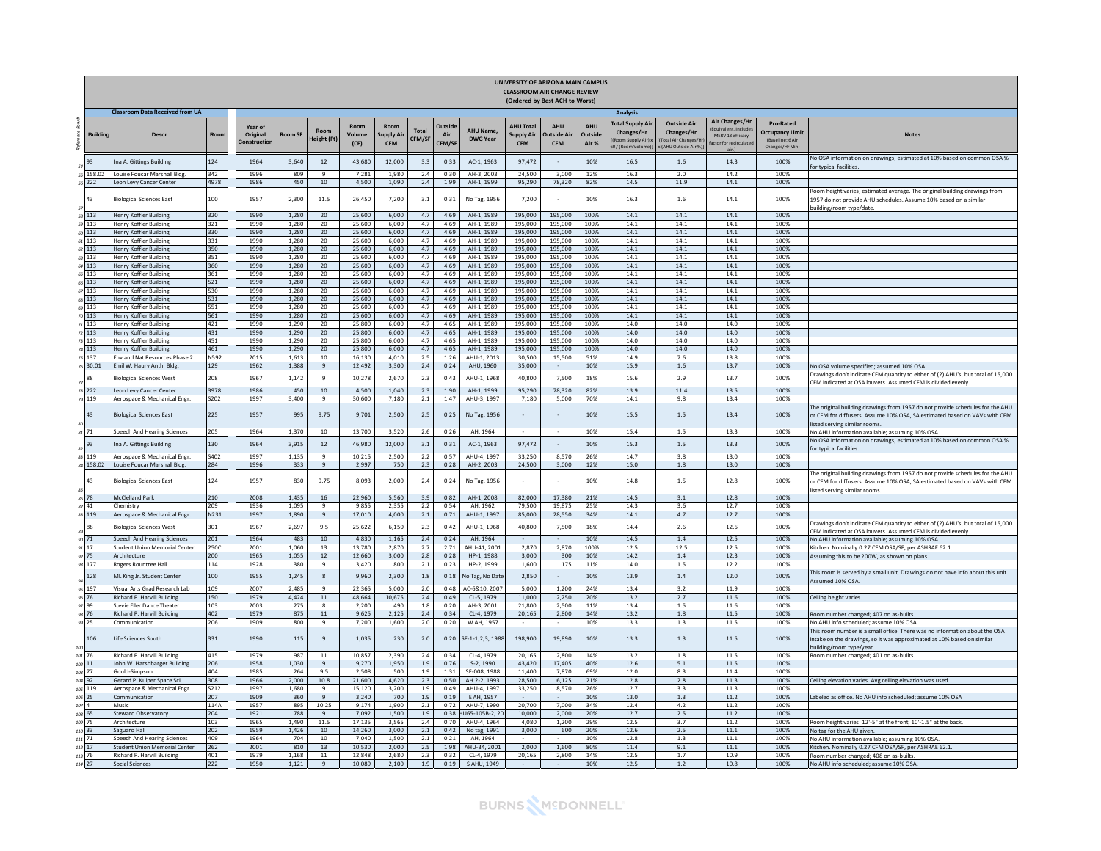|                     |                 |                                                                     |              |                                    |                |                                |                  |                               |                        |                                |                                    |                                             | UNIVERSITY OF ARIZONA MAIN CAMPUS<br><b>CLASSROOM AIR CHANGE REVIEW</b><br>(Ordered by Best ACH to Worst) |                         |                                                                             |                                                                                     |                                                                    |                                                                           |                                                                                                                                                                                               |
|---------------------|-----------------|---------------------------------------------------------------------|--------------|------------------------------------|----------------|--------------------------------|------------------|-------------------------------|------------------------|--------------------------------|------------------------------------|---------------------------------------------|-----------------------------------------------------------------------------------------------------------|-------------------------|-----------------------------------------------------------------------------|-------------------------------------------------------------------------------------|--------------------------------------------------------------------|---------------------------------------------------------------------------|-----------------------------------------------------------------------------------------------------------------------------------------------------------------------------------------------|
|                     |                 | <b>Classroom Data Received from UA</b>                              |              |                                    |                |                                |                  |                               |                        |                                |                                    |                                             |                                                                                                           |                         | Analysis                                                                    |                                                                                     |                                                                    |                                                                           |                                                                                                                                                                                               |
|                     | <b>Building</b> | <b>Descr</b>                                                        | Roon         | Year of<br>Original<br>Constructio | <b>Room SF</b> | Roor<br>leight (Ft             | Volume<br>(CF)   | <b>Ipply Ai</b><br><b>CFM</b> | <b>Total</b><br>CFM/SI | <b>Outsid</b><br>Air<br>CFM/SF | <b>AHU Name</b><br><b>DWG Year</b> | <b>AHU Total</b><br>upply Air<br><b>CFM</b> | <b>AHU</b><br>utside Ai<br><b>CFM</b>                                                                     | AHU<br>Outside<br>Air % | <b>Total Supply Air</b><br>Changes/Hr<br>Room Supply Air)<br>0/(Room Volume | <b>Outside Air</b><br>Changes/Hr<br><b>Fotal Air Changes/</b><br>(AHU Outside Air % | <b>Air Changes/Hr</b><br>MERV 13 efficacy<br>ictor for recirculati | Pro-Rated<br><b>Occupancy Limit</b><br>(Baseline: 6 Air<br>Changes/Hr Min | <b>Notes</b>                                                                                                                                                                                  |
|                     |                 | na A. Gittings Building                                             | 124          | 1964                               | 3.640          | 12                             | 43,680           | 12,000                        | 3.3                    | 0.33                           | AC-1, 1963                         | 97.472                                      |                                                                                                           | 10%                     | 16.5                                                                        | 1.6                                                                                 | 14.3                                                               | 100%                                                                      | Vo OSA information on drawings; estimated at 10% based on common OSA %<br>or typical facilities.                                                                                              |
| 55                  | 158.02          | Louise Foucar Marshall Bldg                                         | 342          | 1996                               | 809            | $\mathbf{q}$                   | 7,281            | 1,980                         | 2.4                    | 0.30                           | AH-3, 2003                         | 24,500                                      | 3,000                                                                                                     | 12%                     | 16.3                                                                        | 2.0                                                                                 | 14.2                                                               | 100%                                                                      |                                                                                                                                                                                               |
| 56                  | 222<br>43       | eon Levy Cancer Center<br><b>Biological Sciences East</b>           | 4978<br>100  | 1986<br>1957                       | 450<br>2,300   | 10<br>11.5                     | 4,500<br>26,450  | 1.090<br>7,200                | 2.4<br>3.1             | 1.99<br>0.31                   | AH-1, 1999<br>No Tag, 1956         | 95,290<br>7,200                             | 78,320                                                                                                    | 82%<br>10%              | 14.5<br>16.3                                                                | 11.9<br>1.6                                                                         | 14.1<br>14.1                                                       | 100%<br>100%                                                              | bom height varies, estimated average. The original building drawings from<br>1957 do not provide AHU schedules. Assume 10% based on a similar<br>building/room type/date.                     |
|                     | 113             | Henry Koffler Building                                              | 320          | 1990                               | 1.280          | 20                             | 25,600           | 6.000                         | 4.7                    | 4.69                           | AH-1, 1989                         | 195.000                                     | 195,000                                                                                                   | 100%                    | 14.1                                                                        | 14.1                                                                                | 14.1                                                               | 100%                                                                      |                                                                                                                                                                                               |
| 59                  | 113             | <b>Henry Koffler Building</b>                                       | 321          | 1990                               | 1.280          | 20                             | 25,600           | 6.000                         | 4.7                    | 4.69                           | AH-1, 1989                         | 195.000                                     | 195,000                                                                                                   | 100%                    | 14.1                                                                        | 14.1                                                                                | 14.1                                                               | 100%                                                                      |                                                                                                                                                                                               |
| $50\,113$<br>61 113 |                 | Henry Koffler Building<br>Henry Koffler Building                    | 330<br>331   | 1990<br>1990                       | 1.280<br>1.280 | 20<br>20                       | 25,600<br>25,600 | 6,000<br>6,000                | 4.7<br>4.7             | 4.69<br>4.69                   | AH-1, 1989<br>AH-1, 1989           | 195,000<br>195,000                          | 195,000<br>195,000                                                                                        | 100%<br>100%            | 14.1<br>14.1                                                                | 14.1<br>14.1                                                                        | 14.1<br>14.1                                                       | 100%<br>100%                                                              |                                                                                                                                                                                               |
| 52 113              |                 | Henry Koffler Building                                              | 350          | 1990                               | 1.280          | 20                             | 25,600           | 6,000                         | 4.7                    | 4.69                           | AH-1, 1989                         | 195,000                                     | 195,000                                                                                                   | 100%                    | 14.1                                                                        | 14.1                                                                                | 14.1                                                               | 100%                                                                      |                                                                                                                                                                                               |
|                     | 113             | Henry Koffler Building                                              | 351          | 1990                               | 1.280          | 20                             | 25,600           | 6.000                         | 4.7                    | 4.69                           | AH-1, 1989                         | 195,000                                     | 195,000                                                                                                   | 100%                    | 14.1                                                                        | 14.1                                                                                | 14.1                                                               | 100%                                                                      |                                                                                                                                                                                               |
|                     | 113             | lenry Koffler Building                                              | 360          | 1990                               | 1,280          | 20                             | 25,600           | 6,000                         | 4.7                    | 4.69                           | AH-1, 1989                         | 195,000                                     | 195,000                                                                                                   | 100%                    | 14.1                                                                        | 14.1                                                                                | 14.1                                                               | 100%                                                                      |                                                                                                                                                                                               |
| 65 113              | 113             | Henry Koffler Building<br>Henry Koffler Building                    | 361<br>521   | 1990<br>1990                       | 1.280<br>1.280 | 20<br>20                       | 25,600<br>25,600 | 6.000<br>6,000                | 4.7<br>4.7             | 4.69<br>4.69                   | AH-1, 1989<br>AH-1, 1989           | 195,000<br>195,000                          | 195,000<br>195,000                                                                                        | 100%<br>100%            | 14.1<br>14.1                                                                | 14.1<br>14.1                                                                        | 14.1<br>14.1                                                       | 100%<br>100%                                                              |                                                                                                                                                                                               |
|                     | 113             | Henry Koffler Building                                              | 530          | 1990                               | 1,280          | 20                             | 25,600           | 6,000                         | 4.7                    | 4.69                           | AH-1, 1989                         | 195,000                                     | 195,000                                                                                                   | 100%                    | 14.1                                                                        | 14.1                                                                                | 14.1                                                               | 100%                                                                      |                                                                                                                                                                                               |
| 68                  | 113             | Henry Koffler Building                                              | 31           | 1990                               | 1.280          | 20                             | 25,600           | 6.000                         | 4.7                    | 4.69                           | AH-1, 1989                         | 195,000                                     | 195,000                                                                                                   | 100%                    | 14.1                                                                        | 14.1                                                                                | 14.1                                                               | 100%                                                                      |                                                                                                                                                                                               |
|                     | 113             | lenry Koffler Building                                              | 551          | 1990                               | 1,280          | 20                             | 25,600           | 6,000                         | 4.7                    | 4.69                           | AH-1, 1989                         | 195,000                                     | 195,000                                                                                                   | 100%                    | 14.1                                                                        | 14.1                                                                                | 14.1                                                               | 100%                                                                      |                                                                                                                                                                                               |
| $m$ 113             |                 | <b>Henry Koffler Building</b>                                       | 561          | 1990                               | 1.280          | 20                             | 25.600           | 6.000                         | 4.7                    | 4.69                           | AH-1, 1989                         | 195.000                                     | 195,000                                                                                                   | 100%                    | 14.1                                                                        | 14.1                                                                                | 14.1                                                               | 100%                                                                      |                                                                                                                                                                                               |
| 7113<br>72 113      |                 | Henry Koffler Building<br>Henry Koffler Building                    | 421<br>431   | 1990<br>1990                       | 1.290<br>1.290 | 20<br>20                       | 25,800<br>25,800 | 6.000<br>6,000                | 4.7<br>4.7             | 4.65<br>4.65                   | AH-1, 1989<br>AH-1, 1989           | 195.000<br>195,000                          | 195,000<br>195,000                                                                                        | 100%<br>100%            | 14.0<br>14.0                                                                | 14.0<br>14.0                                                                        | 14.0<br>14.0                                                       | 100%<br>100%                                                              |                                                                                                                                                                                               |
|                     | 113             | <b>Henry Koffler Building</b>                                       | 451          | 1990                               | 1,290          | 20                             | 25,800           | 6.000                         | 4.7                    | 4.65                           | AH-1, 1989                         | 195,000                                     | 195,000                                                                                                   | 100%                    | 14.0                                                                        | 14.0                                                                                | 14.0                                                               | 100%                                                                      |                                                                                                                                                                                               |
|                     | 113             | lenry Koffler Building                                              | 461          | 1990                               | 1.290          | 20                             | 25,800           | 6,000                         | 4.7                    | 4.65                           | AH-1, 1989                         | 195,000                                     | 195,000                                                                                                   | 100%                    | 14.0                                                                        | 14.0                                                                                | 14.0                                                               | 100%                                                                      |                                                                                                                                                                                               |
|                     | 137             | Env and Nat Resources Phase 2                                       | N592         | 2015                               | 1.613          | 10                             | 16.130           | 4.010                         | 2.5                    | 1.26                           | AHU-1, 2013                        | 30,500                                      | 15,500                                                                                                    | 51%                     | 14.9                                                                        | 7.6                                                                                 | 13.8                                                               | 100%                                                                      |                                                                                                                                                                                               |
|                     | 30.01           | Emil W. Haury Anth, Bldg.                                           | 129          | 1962                               | 1.388          | 9                              | 12,492           | 3,300                         | 2.4                    | 0.24                           | AHU, 1960                          | 35,000                                      |                                                                                                           | 10%                     | 15.9                                                                        | 1.6                                                                                 | 13.7                                                               | 100%                                                                      | No OSA volume specified: assumed 10% OSA.<br>Drawings don't indicate CFM quantity to either of (2) AHU's, but total of 15,000                                                                 |
|                     |                 | <b>Biological Sciences West</b>                                     | 208          | 1967                               | 1.142          | 9                              | 10,278           | 2.670                         | 2.3                    | 0.43                           | AHU-1, 1968                        | 40,800                                      | 7,500                                                                                                     | 18%                     | 15.6                                                                        | 2.9                                                                                 | 13.7                                                               | 100%                                                                      | CFM indicated at OSA louvers. Assumed CFM is divided evenly                                                                                                                                   |
| 79                  | 222<br>119      | eon Levy Cancer Center<br>Aerospace & Mechanical Engr               | 3978<br>5202 | 1986<br>1997                       | 450<br>3,400   | 10<br>$\overline{q}$           | 4,500<br>30,600  | 1.040<br>7,180                | 2.3<br>2.1             | 1.90<br>1.47                   | AH-1, 1999<br>AHU-3, 1997          | 95.290<br>7,180                             | 78,320<br>5,000                                                                                           | 82%<br>70%              | 13.9<br>14.1                                                                | 11.4<br>9.8                                                                         | 13.5<br>13.4                                                       | 100%<br>100%                                                              |                                                                                                                                                                                               |
|                     | 43              | <b>Biological Sciences East</b>                                     | 225          | 1957                               | 995            | 9.75                           | 9,701            | 2,500                         | 2.5                    | 0.25                           | No Tag, 1956                       |                                             |                                                                                                           | 10%                     | 15.5                                                                        | 1.5                                                                                 | 13.4                                                               | 100%                                                                      | The original building drawings from 1957 do not provide schedules for the AHU<br>or CFM for diffusers. Assume 10% OSA, SA estimated based on VAVs with CFM<br>isted serving similar rooms.    |
| 81 71               |                 | Speech And Hearing Sciences                                         | 205.         | 1964                               | 1.370          | 10                             | 13.700           | 3.520                         | 2.6                    | 0.26                           | AH. 1964                           |                                             |                                                                                                           | 10%                     | 15.4                                                                        | 1.5                                                                                 | 13.3                                                               | 100%                                                                      | No AHU information available; assuming 10% OSA.                                                                                                                                               |
|                     | 93              | na A. Gittings Building                                             | 130          | 1964                               | 3,915          | 12                             | 46,980           | 12,000                        | 3.1                    | 0.31                           | AC-1, 1963                         | 97,472                                      |                                                                                                           | 10%                     | 15.3                                                                        | 1.5                                                                                 | 13.3                                                               | 100%                                                                      | Vo OSA information on drawings; estimated at 10% based on common OSA %<br>or typical facilities.                                                                                              |
| 83                  | 19              | erospace & Mechanical Engr.                                         | \$402        | 1997                               | 1,135          | $\overline{9}$                 | 10,215           | 2,500                         | 2.2                    | 0.57                           | AHU-4, 1997                        | 33.250                                      | 8.570                                                                                                     | 26%                     | 14.7                                                                        | 3.8                                                                                 | 13.0                                                               | 100%                                                                      |                                                                                                                                                                                               |
|                     | 84 158.02<br>43 | Louise Foucar Marshall Bldg.<br><b>Biological Sciences East</b>     | 284<br>124   | 1996<br>1957                       | 333<br>830     | 9<br>9.75                      | 2,997<br>8,093   | 750<br>2,000                  | 2.3<br>2.4             | 0.28<br>0.24                   | AH-2, 2003<br>No Tag, 1956         | 24,500                                      | 3,000                                                                                                     | 12%<br>10%              | 15.0<br>14.8                                                                | 1.8<br>1.5                                                                          | 13.0<br>12.8                                                       | 100%<br>100%                                                              | The original building drawings from 1957 do not provide schedules for the AHU<br>or CFM for diffusers. Assume 10% OSA, SA estimated based on VAVs with CFM<br>isted serving similar rooms.    |
|                     |                 | <b>McClelland Park</b>                                              | 210<br>209   | 2008                               | 1,435<br>1.095 | 16<br>$\mathbf{q}$             | 22,960<br>9.855  | 5,560<br>2.355                | 3.9<br>2.2             | 0.82                           | AH-1, 2008<br>AH. 1962             | 82,000<br>79.500                            | 17,380<br>19.875                                                                                          | 21%<br>25%              | 14.5                                                                        | 3.1<br>3.6                                                                          | 12.8<br>12.7                                                       | 100%<br>100%                                                              |                                                                                                                                                                                               |
| 87 41               | 119             | Chemistry<br>Aerospace & Mechanical Engr                            | N231         | 1936<br>1997                       | 1.890          | $\overline{9}$                 | 17,010           | 4,000                         | 2.1                    | 0.54<br>0.71                   | AHU-1, 1997                        | 85,000                                      | 28,550                                                                                                    | 34%                     | 14.3<br>14.1                                                                | 4.7                                                                                 | 12.7                                                               | 100%                                                                      |                                                                                                                                                                                               |
|                     |                 | <b>Biological Sciences West</b>                                     | 301          | 1967                               | 2.697          | 9.5                            | 25.622           | 6.150                         | 2.3                    | 0.42                           | AHU-1, 1968                        | 40,800                                      | 7.500                                                                                                     | 18%                     | 14.4                                                                        | 2.6                                                                                 | 12.6                                                               | 100%                                                                      | Drawings don't indicate CFM quantity to either of (2) AHU's, but total of 15,000<br>FM indicated at OSA louvers. Assumed CFM is divided evenly                                                |
| 90 71               |                 | Speech And Hearing Sciences                                         | 201          | 1964                               | 483            | 10                             | 4,830            | 1,165                         | 2.4                    | 0.24                           | AH, 1964                           |                                             |                                                                                                           | 10%                     | 14.5                                                                        | 1.4                                                                                 | 12.5                                                               | 100%                                                                      | No AHU information available; assuming 10% OSA.                                                                                                                                               |
|                     | 17              | <b>Student Union Memorial Center</b>                                | 250C         | 2001                               | 1,060          | 13                             | 13,780           | 2,870                         | 2.7                    | 2.71                           | AHU-41, 2001                       | 2,870                                       | 2,870                                                                                                     | 100%                    | 12.5                                                                        | 12.5                                                                                | 12.5                                                               | 100%                                                                      | Kitchen. Nominally 0.27 CFM OSA/SF, per ASHRAE 62.1.                                                                                                                                          |
|                     | $\frac{1}{5}$   | Architecture                                                        | 200          | 1965                               | 1,055          | 12                             | 12,660           | 3,000                         | 2.8                    | 0.28                           | HP-1, 1988                         | 3,000                                       | 300                                                                                                       | 10%                     | 14.2                                                                        | $1.4\,$                                                                             | 12.3                                                               | 100%                                                                      | Assuming this to be 200W, as shown on plans                                                                                                                                                   |
| $q\bar{q}$          | 177<br>128      | Rogers Rountree Hall<br>ML King Jr. Student Center                  | 114<br>100   | 1928<br>1955                       | 380<br>1,245   | 9<br>8                         | 3.420<br>9,960   | 800<br>2,300                  | 2.1<br>1.8             | 0.23<br>0.18                   | HP-2, 1999<br>No Tag, No Dat       | 1.600<br>2.850                              | 175                                                                                                       | 11%<br>10%              | 14.0<br>13.9                                                                | 1.5<br>1.4                                                                          | 12.2<br>12.0                                                       | 100%<br>100%                                                              | This room is served by a small unit. Drawings do not have info about this unit.                                                                                                               |
| 95                  | 97              | Visual Arts Grad Research Lab                                       | 109          | 2007                               | 2.485          | $\overline{9}$                 | 22,365           | 5,000                         | 2.0                    | 0.48                           | AC-6&10, 200                       | 5.000                                       | 1,200                                                                                                     | 24%                     | 13.4                                                                        | 3.2                                                                                 | 11.9                                                               | 100%                                                                      | ssumed 10% OSA                                                                                                                                                                                |
|                     | $6^{\circ}$     | Richard P. Harvill Building                                         | 150          | 1979                               | 4,424          | $11\,$                         | 48,664           | 10,675                        | 2.4                    | 0.49                           | CL-5, 1979                         | 11,000                                      | 2,250                                                                                                     | 20%                     | 13.2                                                                        | 2.7                                                                                 | $11.6\,$                                                           | 100%                                                                      | Ceiling height varies.                                                                                                                                                                        |
| 97 99               |                 | Stevie Eller Dance Theater                                          | 103          | 2003                               | 275            | 8                              | 2.200            | 490                           | 1.8                    | 0.20                           | AH-3, 2001                         | 21.800                                      | 2.500                                                                                                     | 11%                     | 13.4                                                                        | 1.5                                                                                 | 11.6                                                               | 100%                                                                      |                                                                                                                                                                                               |
|                     |                 | Richard P. Harvill Building                                         | 402          | 1979                               | 875            | 11                             | 9,625            | 2,125                         | 2.4                    | 0.34                           | CL-4, 1979                         | 20,165                                      | 2,800                                                                                                     | 14%                     | 13.2                                                                        | $1.8\,$                                                                             | 11.5                                                               | 100%                                                                      | Room number changed; 407 on as-builts                                                                                                                                                         |
| 99<br>100           | 25<br>106       | Communication<br>Life Sciences South                                | 206<br>331   | 1909<br>1990                       | 800<br>115     | $\mathbf{q}$<br>$\mathbf{q}$   | 7,200<br>1.035   | 1.600<br>230                  | 2.0<br>2.0             | 0.20<br>0.20                   | W AH, 1957<br>SF-1-1.2.3.1988      | 198,900                                     | 19.890                                                                                                    | 10%<br>10%              | 13.3<br>13.3                                                                | 1.3<br>1.3                                                                          | 11.5<br>11.5                                                       | 100%<br>100%                                                              | No AHU info scheduled: assume 10% OSA<br>This room number is a small office. There was no information about the OSA<br>intake on the drawings, so it was approximated at 10% based on similar |
| 101 76              |                 | Richard P. Harvill Building                                         | 415          | 1979                               | 987            | $11\,$                         | 10.857           | 2,390                         | 2.4                    | 0.34                           | CL-4, 1979                         | 20,165                                      | 2.800                                                                                                     | 14%                     | 13.2                                                                        | 1.8                                                                                 | 11.5                                                               | 100%                                                                      | building/room type/year.<br>Room number changed; 401 on as-builts.                                                                                                                            |
| $102$ 11            |                 | John W. Harshbarger Building                                        | 206          | 1958                               | 1,030          | $\overline{q}$                 | 9,270            | 1,950                         | 1.9                    | 0.76                           | $S-2, 1990$                        | 43,420                                      | 17,405                                                                                                    | 40%                     | 12.6                                                                        | 5.1                                                                                 | 11.5                                                               | 100%                                                                      |                                                                                                                                                                                               |
|                     | 77              | Gould-Simpson                                                       | 404          | 1985                               | 264            | 9.5                            | 2,508            | 500                           | 1.9                    | 1.31                           | SF-008, 1988                       | 11,400                                      | 7.870                                                                                                     | 69%                     | 12.0                                                                        | 8.3                                                                                 | 11.4                                                               | 100%                                                                      |                                                                                                                                                                                               |
| $104$ 92            |                 | Gerard P. Kuiper Space Sci.                                         | 308          | 1966                               | 2.000          | 10.8                           | 21,600           | 4.620                         | 2.3                    | 0.50                           | AH 2-2, 1993                       | 28,500                                      | 6.125                                                                                                     | 21%                     | 12.8                                                                        | 2.8                                                                                 | 11.3                                                               | 100%                                                                      | Ceiling elevation varies. Avg ceiling elevation was used.                                                                                                                                     |
| 105<br>106 25       | 119             | Aerospace & Mechanical Engr<br>Communication                        | 5212<br>207  | 1997<br>1909                       | 1.680<br>360   | $\overline{9}$<br>$\mathbf{q}$ | 15.120<br>3,240  | 3.200<br>700                  | 1.9<br>1.9             | 0.49<br>0.19                   | AHU-4, 1997<br>E AH, 1957          | 33.250                                      | 8,570                                                                                                     | 26%<br>10%              | 12.7<br>13.0                                                                | 3.3<br>1.3                                                                          | 11.3<br>11.2                                                       | 100%<br>100%                                                              | abeled as office. No AHU info scheduled; assume 10% OSA                                                                                                                                       |
| 107                 |                 | Music                                                               | 114A         | 1957                               | 895            | 10.25                          | 9,174            | 1,900                         | 2.1                    | 0.72                           | AHU-7, 1990                        | 20.70                                       | 7.000                                                                                                     | 34%                     | 12.4                                                                        | 4.2                                                                                 | 11.2                                                               | 100%                                                                      |                                                                                                                                                                                               |
| 108 65              |                 | Steward Observatory                                                 | 204          | 1921                               | 788            | $\mathbf{q}$                   | 7,092            | 1,500                         | 1.9                    | 0.38                           | HU65-105B-2, 20                    | 10,000                                      | 2.000                                                                                                     | 20%                     | 12.7                                                                        | 2.5                                                                                 | 11.2                                                               | 100%                                                                      |                                                                                                                                                                                               |
| 109.75              |                 | Architecture                                                        | 103          | 1965                               | 1.490          | 11.5                           | 17.135           | 3.565                         | 2.4                    | 0.70                           | AHU-4, 1964                        | 4.080                                       | 1.200                                                                                                     | 29%                     | 12.5                                                                        | 3.7                                                                                 | 11.2                                                               | 100%                                                                      | Room height varies: 12'-5" at the front, 10'-1.5" at the back.                                                                                                                                |
| 110                 |                 | Saguaro Hall                                                        | 202          | 1959                               | 1,426          | 10                             | 14,260           | 3,000                         | 2.1                    | 0.42                           | No tag, 1991                       | 3,000                                       | 600                                                                                                       | 20%                     | 12.6                                                                        | 2.5                                                                                 | 11.1                                                               | 100%                                                                      | No tag for the AHU given.                                                                                                                                                                     |
| 111 71              |                 | Speech And Hearing Sciences<br><b>Student Union Memorial Center</b> | 409<br>262   | 1964<br>2001                       | 704<br>810     | 10<br>13                       | 7.040<br>10,530  | 1.500<br>2,000                | 2.1<br>2.5             | 0.21<br>1.98                   | AH. 1964<br>AHU-34, 2001           | 2,000                                       | 1.600                                                                                                     | 10%<br>80%              | 12.8<br>11.4                                                                | 1.3<br>9.1                                                                          | 11.1<br>11.1                                                       | 100%<br>100%                                                              | No AHU information available; assuming 10% OSA                                                                                                                                                |
| 112 17<br>113       | 76              | Richard P. Harvill Building                                         | 401          | 1979                               | 1.168          | 11                             | 12.848           | 2.680                         | 2.3                    | 0.32                           | CL-4, 1979                         | 20,165                                      | 2,800                                                                                                     | 14%                     | 12.5                                                                        | 1.7                                                                                 | 10.9                                                               | 100%                                                                      | Kitchen. Nominally 0.27 CFM OSA/SF, per ASHRAE 62.1.<br>Room number changed; 408 on as-builts                                                                                                 |
| $114$ 27            |                 | <b>Social Sciences</b>                                              | 222          | 1950                               | 1.121          | $\mathbf{q}$                   | 10,089           | 2,100                         | 1.9                    | 0.19                           | S AHU, 1949                        |                                             |                                                                                                           | 10%                     | 12.5                                                                        | 1.2                                                                                 | 10.8                                                               | 100%                                                                      | No AHU info scheduled: assume 10% OSA                                                                                                                                                         |

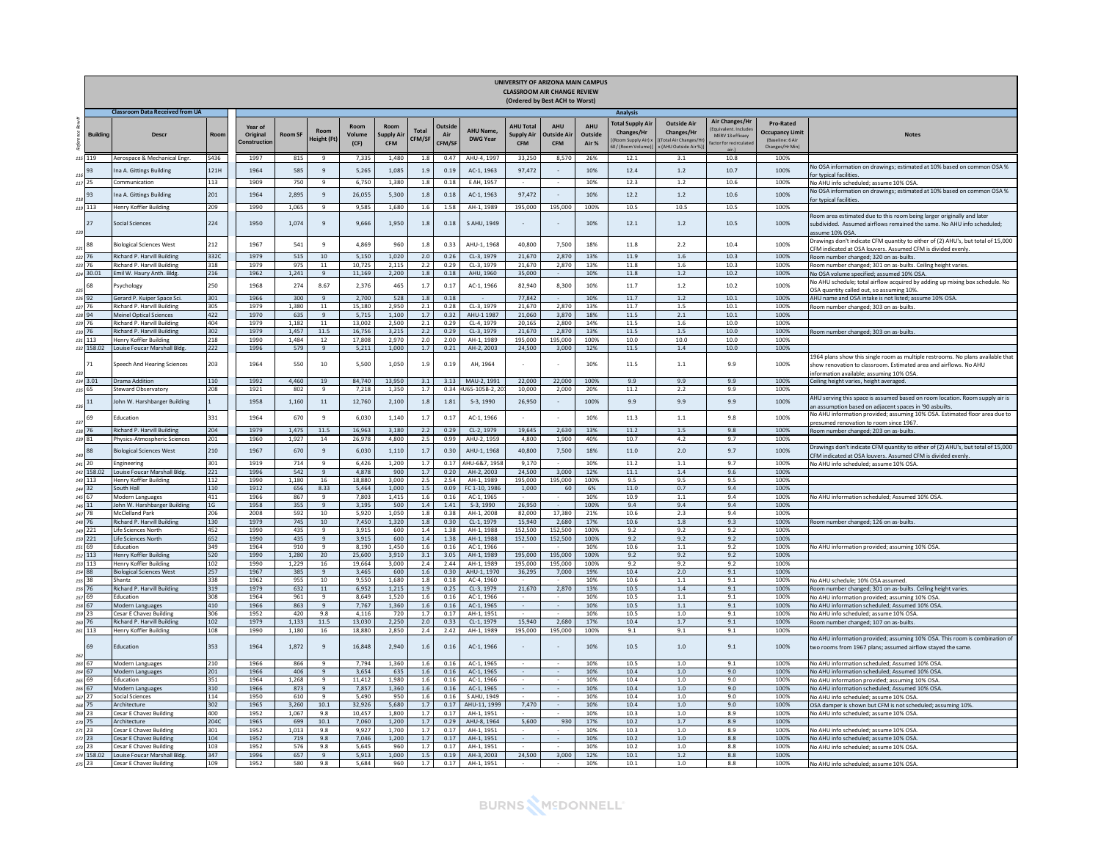|            |                    |                                                               |             |                                    |                |                            |                 |                                        |                        |                                |                                    | UNIVERSITY OF ARIZONA MAIN CAMPUS<br><b>CLASSROOM AIR CHANGE REVIEW</b> | (Ordered by Best ACH to Worst)         |                                |                                                                                |                                                                               |                                                                   |                                                                           |                                                                                                                                                                                                 |
|------------|--------------------|---------------------------------------------------------------|-------------|------------------------------------|----------------|----------------------------|-----------------|----------------------------------------|------------------------|--------------------------------|------------------------------------|-------------------------------------------------------------------------|----------------------------------------|--------------------------------|--------------------------------------------------------------------------------|-------------------------------------------------------------------------------|-------------------------------------------------------------------|---------------------------------------------------------------------------|-------------------------------------------------------------------------------------------------------------------------------------------------------------------------------------------------|
|            |                    | <b>Classroom Data Received from UA</b>                        |             |                                    |                |                            |                 |                                        |                        |                                |                                    |                                                                         |                                        |                                | <b>Analysis</b>                                                                |                                                                               |                                                                   |                                                                           |                                                                                                                                                                                                 |
| É          | <b>Building</b>    | <b>Descr</b>                                                  | Roon        | Year of<br>Original<br>Constructio | <b>Room SF</b> | Room<br>leight (Ft         | Volume<br>(CF)  | Room<br><b>Supply Ai</b><br><b>CFM</b> | <b>Total</b><br>CFM/SF | <b>Dutsid</b><br>Air<br>CFM/SF | <b>AHU Name</b><br><b>DWG Year</b> | <b>AHU Total</b><br>Supply Air<br><b>CFM</b>                            | <b>AHU</b><br>Dutside Ai<br><b>CFM</b> | <b>AHU</b><br>Outside<br>Air % | <b>Total Supply Air</b><br>Changes/Hr<br>(Room Supply Air) ><br>0/(Room Volume | <b>Outside Air</b><br>Changes/Hr<br>Total Air Changes/H<br>(AHU Outside Air % | <b>Air Changes/Hr</b><br>MERV 13 efficacy<br>ctor for recirculate | Pro-Rated<br><b>Occupancy Limit</b><br>(Baseline: 6 Air<br>Changes/Hr Min | <b>Notes</b>                                                                                                                                                                                    |
| 115        | 119                | Aerospace & Mechanical Ener                                   | S436        | 1997                               | 815            | 9                          | 7,335           | 1.480                                  | 1.8                    | 0.47                           | AHU-4, 1997                        | 33,250                                                                  | 8,570                                  | 26%                            | 12.1                                                                           | 3.1                                                                           | 10.8                                                              | 100%                                                                      |                                                                                                                                                                                                 |
| 116        | 93                 | na A. Gittings Building                                       | 121H        | 1964                               | 585            | $\overline{9}$             | 5,265           | 1,085                                  | 1.9                    | 0.19                           | AC-1, 1963                         | 97,472                                                                  |                                        | 10%                            | 12.4                                                                           | 1.2                                                                           | 10.7                                                              | 100%                                                                      | No OSA information on drawings; estimated at 10% based on common OSA %<br>or typical facilitie                                                                                                  |
|            | 117 25             | communication                                                 | 113         | 1909                               | 750            | $\overline{q}$             | 6.750           | 1,380                                  | 1.8                    | 0.18                           | E AH, 1957                         |                                                                         |                                        | 10%                            | 12.3                                                                           | 1.2                                                                           | 10.6                                                              | 100%                                                                      | No AHU info scheduled; assume 10% OSA.                                                                                                                                                          |
|            | 93                 | na A. Gittings Building                                       | 201         | 1964                               | 2.895          | 9                          | 26.055          | 5.300                                  | 1.8                    | 0.18                           | AC-1, 1963                         | 97.472                                                                  |                                        | 10%                            | 12.2                                                                           | $1.2$                                                                         | 10.6                                                              | 100%                                                                      | No OSA information on drawings; estimated at 10% based on common OSA %                                                                                                                          |
| 118        | 119 113            | Henry Koffler Building                                        | 209         | 1990                               | 1,065          | 9                          | 9.585           | 1.680                                  | 1.6                    | 1.58                           | AH-1, 1989                         | 195.000                                                                 | 195,000                                | 100%                           | 10.5                                                                           | 10.5                                                                          | 10.5                                                              | 100%                                                                      | or typical facilities                                                                                                                                                                           |
| 120        | 27                 | Social Sciences                                               | 224         | 1950                               | 1,074          | $\mathbf{q}$               | 9,666           | 1,950                                  | $1.8\,$                | 0.18                           | S AHU, 1949                        |                                                                         |                                        | 10%                            | 12.1                                                                           | $1.2\,$                                                                       | 10.5                                                              | 100%                                                                      | Room area estimated due to this room being larger originally and later<br>subdivided. Assumed airflows remained the same. No AHU info scheduled:<br>assume 10% OSA                              |
| 121        | 88                 | <b>Biological Sciences West</b>                               | 212         | 1967                               | 541            | 9                          | 4,869           | 960                                    | 1.8                    | 0.33                           | AHU-1, 1968                        | 40,800                                                                  | 7,500                                  | 18%                            | 11.8                                                                           | 2.2                                                                           | 10.4                                                              | 100%                                                                      | Drawings don't indicate CFM quantity to either of (2) AHU's, but total of 15,000<br>CFM indicated at OSA louvers. Assumed CFM is divided evenly                                                 |
|            | 122 76             | <b>Richard P. Harvill Building</b>                            | 332C        | 1979                               | 515            | 10                         | 5,150           | 1,020                                  | 2.0                    | 0.26                           | CL-3, 1979                         | 21,670                                                                  | 2,870                                  | 13%                            | 11.9                                                                           | 1.6                                                                           | 10.3                                                              | 100%                                                                      | Room number changed; 320 on as-builts.                                                                                                                                                          |
|            | 123 76             | Richard P. Harvill Building                                   | 318         | 1979                               | 975            | 11                         | 10,725          | 2,115                                  | 2.2                    | 0.29                           | CL-3, 1979                         | 21,670                                                                  | 2,870                                  | 13%                            | 11.8                                                                           | 1.6                                                                           | 10.3                                                              | 100%                                                                      | Room number changed; 301 on as-builts. Ceiling height varies.                                                                                                                                   |
| 124        | 30.01              | Emil W. Haury Anth. Bldg                                      | 216         | 1962                               | 1,241          | 9                          | 11.169          | 2.200                                  | 1.8                    | 0.18                           | AHU, 1960                          | 35,000                                                                  |                                        | 10%                            | 11.8                                                                           | 1.2                                                                           | 10.2                                                              | 100%                                                                      | No OSA volume specified; assumed 10% OSA.<br>lo AHU schedule; total airflow acquired by adding up mixing box schedule. No                                                                       |
| 125        | 68                 | sychology                                                     | 250         | 1968                               | 274            | 8.67                       | 2,376           | 465                                    | 1.7                    | 0.17                           | AC-1, 1966                         | 82,940                                                                  | 8,300                                  | 10%                            | 11.7                                                                           | $1.2\,$                                                                       | 10.2                                                              | 100%                                                                      | OSA quantity called out, so assuming 10%                                                                                                                                                        |
|            | 126 92             | Gerard P. Kuiper Space Sci.                                   | 301         | 1966                               | 300            | 9                          | 2,700           | 528                                    | 1.8                    | 0.18                           |                                    | 77,842                                                                  |                                        | 10%                            | 11.7                                                                           | 1.2                                                                           | 10.1                                                              | 100%                                                                      | AHU name and OSA intake is not listed: assume 10% OSA.                                                                                                                                          |
| 127        | 76<br>94           | Richard P. Harvill Building                                   | 305         | 1979                               | 1,380          | 11<br>$\overline{q}$       | 15,180          | 2,950                                  | 2.1                    | 0.28                           | CL-3, 1979                         | 21,670                                                                  | 2,870                                  | 13%                            | 11.7                                                                           | $1.5\,$                                                                       | 10.1                                                              | 100%                                                                      | Room number changed; 303 on as-builts                                                                                                                                                           |
| 128<br>129 | 76                 | <b>Aeinel Optical Sciences</b><br>Richard P. Harvill Building | 422<br>404  | 1970<br>1979                       | 635<br>1,182   | $11\,$                     | 5,715<br>13,002 | 1,100<br>2.500                         | 1.7<br>2.1             | 0.32<br>0.29                   | AHU-1 1987<br>CL-4, 1979           | 21,060<br>20,165                                                        | 3,870<br>2,800                         | 18%<br>14%                     | 11.5<br>11.5                                                                   | 2.1<br>1.6                                                                    | 10.1<br>10.0                                                      | 100%<br>100%                                                              |                                                                                                                                                                                                 |
|            | 130 76             | Richard P. Harvill Building                                   | 302         | 1979                               | 1.457          | 11.5                       | 16.756          | 3.215                                  | 2.2                    | 0.29                           | CL-3, 1979                         | 21.670                                                                  | 2.870                                  | 13%                            | 11.5                                                                           | 1.5                                                                           | 10.0                                                              | 100%                                                                      | Room number changed; 303 on as-builts.                                                                                                                                                          |
|            | 131 113            | Henry Koffler Building                                        | 218         | 1990                               | 1.484          | 12                         | 17,808          | 2.970                                  | 2.0                    | 2.00                           | AH-1, 1989                         | 195,000                                                                 | 195,000                                | 100%                           | 10.0                                                                           | 10.0                                                                          | 10.0                                                              | 100%                                                                      |                                                                                                                                                                                                 |
| 132        | 158.02             | Louise Foucar Marshall Bldg                                   | 222         | 1996                               | 579            | 9                          | 5,211           | 1,000                                  | 1.7                    | 0.21                           | AH-2, 2003                         | 24,500                                                                  | 3,000                                  | 12%                            | 11.5                                                                           | 1.4                                                                           | 10.0                                                              | 100%                                                                      |                                                                                                                                                                                                 |
| 133        | 71                 | peech And Hearing Sciences                                    | 203         | 1964                               | 550            | 10                         | 5,500           | 1,050                                  | 1.9                    | 0.19                           | AH, 1964                           |                                                                         |                                        | 10%                            | 11.5                                                                           | $1.1\,$                                                                       | 9.9                                                               | 100%                                                                      | 1964 plans show this single room as multiple restrooms. No plans available that<br>show renovation to classroom. Estimated area and airflows. No AHU<br>information available; assuming 10% OSA |
|            | 134 3.01           | <b>Drama Addition</b>                                         | 110         | 1992                               | 4,460          | 19                         | 84,740          | 13.950                                 | 3.1                    | 3.13                           | MAU-2, 1991                        | 22,000                                                                  | 22,000                                 | 100%                           | 9.9                                                                            | 9.9                                                                           | 9.9                                                               | 100%                                                                      | Ceiling height varies, height averaged.                                                                                                                                                         |
| 136        | 135 65<br>11       | Steward Observatory<br>Iohn W. Harshbarger Building           | 208         | 1921<br>1958                       | 802<br>1,160   | 9<br>$11\,$                | 7,218<br>12,760 | 1,350<br>2,100                         | 1.7<br>$1.8\,$         | 0.34<br>1.81                   | IU65-105B-2, 2<br>S-3, 1990        | 10,000<br>26,950                                                        | 2,000                                  | 20%<br>100%                    | 11.2<br>9.9                                                                    | 2.2<br>9.9                                                                    | 9.9<br>9.9                                                        | 100%<br>100%                                                              | AHU serving this space is assumed based on room location. Room supply air is<br>assumption based on adjacent spaces in '90 asbuilts                                                             |
| 137        | 69                 | ducation                                                      | 331         | 1964                               | 670            | 9                          | 6.030           | 1,140                                  | 1.7                    | 0.17                           | AC-1, 1966                         |                                                                         |                                        | 10%                            | 11.3                                                                           | $1.1\,$                                                                       | 9.8                                                               | 100%                                                                      | No AHU information provided; assuming 10% OSA. Estimated floor area due to                                                                                                                      |
|            | 138 76             | Richard P. Harvill Building                                   | 204         | 1979                               | 1,475          | 11.5                       | 16,963          | 3,180                                  | 2.2                    | 0.29                           | CL-2, 1979                         | 19,645                                                                  | 2,630                                  | 13%                            | 11.2                                                                           | 1.5                                                                           | 9.8                                                               | 100%                                                                      | presumed renovation to room since 1967<br>Room number changed; 203 on as-builts.                                                                                                                |
|            | 139 81             | Physics-Atmospheric Sciences                                  | 201         | 1960                               | 1,927          | 14                         | 26,978          | 4,800                                  | 2.5                    | 0.99                           | AHU-2, 1959                        | 4,800                                                                   | 1,90                                   | 40%                            | 10.7                                                                           | 4.2                                                                           | 9.7                                                               | 100%                                                                      |                                                                                                                                                                                                 |
| 140        | 88                 | <b>Biological Sciences West</b>                               | 210         | 1967                               | 670            | $\mathbf{q}$               | 6,030           | 1,110                                  | 1.7                    | 0.30                           | AHU-1, 1968                        | 40,800                                                                  | 7,500                                  | 18%                            | 11.0                                                                           | 2.0                                                                           | 9.7                                                               | 100%                                                                      | Drawings don't indicate CFM quantity to either of (2) AHU's, but total of 15,000<br>CFM indicated at OSA louvers. Assumed CFM is divided evenly.                                                |
| 141        | 20<br>142 158.02   | <b>Engineering</b><br>Louise Foucar Marshall Bldg             | 301<br>221  | 1919<br>1996                       | 714<br>542     | $\alpha$<br>$\overline{q}$ | 6,426<br>4,878  | 1,200<br>900                           | 1.7<br>1.7             | 0.17<br>0.20                   | AHU-6&7, 195<br>AH-2, 2003         | 9.170<br>24,500                                                         | 3,000                                  | 10%<br>12%                     | 11.2<br>11.1                                                                   | 1.1<br>1.4                                                                    | 9.7<br>9.6                                                        | 100%<br>100%                                                              | No AHU info scheduled; assume 10% OSA.                                                                                                                                                          |
| 143        | 113                | Henry Koffler Building                                        | 112         | 1990                               | 1,180          | 16                         | 18,880          | 3,000                                  | 2.5                    | 2.54                           | AH-1, 1989                         | 195,000                                                                 | 195,000                                | 100%                           | 9.5                                                                            | 9.5                                                                           | 9.5                                                               | 100%                                                                      |                                                                                                                                                                                                 |
| 144        | 32 <sup>7</sup>    | South Hall                                                    | 110         | 1912                               | 656            | 8.33                       | 5.464           | 1.000                                  | 1.5                    | 0.09                           | EC 1-10, 1986                      | 1.000                                                                   | 60                                     | 6%                             | 11.0                                                                           | 0.7                                                                           | 9.4                                                               | 100%                                                                      |                                                                                                                                                                                                 |
|            | 145 67             | Modern Languages                                              | 411         | 1966                               | 867            | 9                          | 7.803           | 1.415                                  | 1.6                    | 0.16                           | AC-1, 1965                         |                                                                         |                                        | 10%                            | 10.9                                                                           | 1.1                                                                           | 9.4                                                               | 100%                                                                      | Vo AHU information scheduled; Assumed 10% OSA.                                                                                                                                                  |
|            | 146 11<br>147 78   | Iohn W. Harshbarger Building<br><b>AcClelland Park</b>        | 1G<br>206   | 1958<br>2008                       | 355<br>592     | $\mathbf{q}$<br>10         | 3,195<br>5,920  | 500<br>1,050                           | 1.4<br>1.8             | 1.41<br>0.38                   | S-3, 1990<br>AH-1, 2008            | 26,950<br>82,000                                                        | 17,380                                 | 100%<br>21%                    | 9.4<br>10.6                                                                    | 9.4<br>2.3                                                                    | 9.4<br>9.4                                                        | 100%<br>100%                                                              |                                                                                                                                                                                                 |
|            | 148 76             | Richard P. Harvill Building                                   | 130         | 1979                               | 745            | 10                         | 7,450           | 1,320                                  | $1.8\,$                | 0.30                           | CL-1, 1979                         | 15,940                                                                  | 2,680                                  | 17%                            | 10.6                                                                           | $1.8\,$                                                                       | 9.3                                                               | 100%                                                                      | Room number changed; 126 on as-builts.                                                                                                                                                          |
|            | 149 221            | Life Sciences North                                           | 452         | 1990                               | 435            | $\overline{q}$             | 3.915           | 600                                    | 1.4                    | 1.38                           | AH-1, 1988                         | 152.500                                                                 | 152.500                                | 100%                           | 9.2                                                                            | 9.2                                                                           | 9.2                                                               | 100%                                                                      |                                                                                                                                                                                                 |
|            | 150 221            | Life Sciences North                                           | 652         | 1990                               | 435            | $\overline{9}$             | 3,915           | 600                                    | 1.4                    | 1.38                           | AH-1, 1988                         | 152,500                                                                 | 152,500                                | 100%                           | 9.2                                                                            | 9.2                                                                           | 9.2                                                               | 100%                                                                      |                                                                                                                                                                                                 |
|            | 151 69<br>152 113  | <b>Education</b>                                              | 349<br>520  | 1964<br>1990                       | 910<br>1,280   | $\mathbf{q}$<br>20         | 8.190<br>25,600 | 1.450<br>3,910                         | $1.6\,$<br>3.1         | 0.16<br>3.05                   | AC-1, 1966<br>AH-1, 1989           | 195,000                                                                 | 195,000                                | 10%<br>100%                    | 10.6<br>9.2                                                                    | $1.1\,$<br>9.2                                                                | 9.2<br>9.2                                                        | 100%<br>100%                                                              | No AHU information provided; assuming 10% OSA.                                                                                                                                                  |
| 153        | 113                | Henry Koffler Building<br>Henry Koffler Building              | 102         | 1990                               | 1,229          | 16                         | 19,664          | 3,000                                  | 2.4                    | 2.44                           | AH-1, 1989                         | 195,000                                                                 | 195,000                                | 100%                           | 9.2                                                                            | 9.2                                                                           | 9.2                                                               | 100%                                                                      |                                                                                                                                                                                                 |
|            | 154 88             | <b>Biological Sciences West</b>                               | 257         | 1967                               | 385            | $\overline{q}$             | 3.465           | 600                                    | 1.6                    | 0.30                           | AHU-1, 1970                        | 36.295                                                                  | 7.000                                  | 19%                            | 10.4                                                                           | 2.0                                                                           | 9.1                                                               | 100%                                                                      |                                                                                                                                                                                                 |
|            | 155 38             | Shantz                                                        | 338         | 1962                               | 955            | 10                         | 9.550           | 1,680                                  | 1.8                    | 0.18                           | AC-4, 1960                         |                                                                         |                                        | 10%                            | 10.6                                                                           | $1.1\,$                                                                       | 9.1                                                               | 100%                                                                      | No AHU schedule: 10% OSA assumed                                                                                                                                                                |
|            | 156 76             | Richard P. Harvill Building                                   | 319         | 1979                               | 632            | 11                         | 6,952           | 1,215                                  | 1.9                    | 0.25                           | CL-3, 1979                         | 21,670                                                                  | 2,870                                  | 13%                            | 10.5                                                                           | 1.4                                                                           | 9.1                                                               | 100%                                                                      | Room number changed; 301 on as-builts. Ceiling height varies.                                                                                                                                   |
|            | 157 69<br>158 67   | Education<br>Modern Languages                                 | 308<br>410  | 1964<br>1966                       | 961<br>863     | 9<br>$\overline{9}$        | 8.649<br>7.767  | 1.520<br>1.360                         | 1.6<br>1.6             | 0.16<br>0.16                   | AC-1, 1966<br>AC-1, 1965           |                                                                         |                                        | 10%<br>10%                     | 10.5<br>10.5                                                                   | 1.1<br>1.1                                                                    | 9.1<br>9.1                                                        | 100%<br>100%                                                              | No AHU information provided; assuming 10% OSA.                                                                                                                                                  |
|            | 159 23             | Cesar E Chavez Buildin                                        | 306         | 1952                               | 420            | 9.8                        | 4,116           | 720                                    | 1.7                    | 0.17                           | AH-1, 1951                         |                                                                         |                                        | 10%                            | 10.5                                                                           | 1.0                                                                           | 9.1                                                               | 100%                                                                      | No AHU information scheduled; Assumed 10% OSA.<br>No AHU info scheduled; assume 10% OSA                                                                                                         |
|            | 160 76             | Richard P. Harvill Building                                   | 102         | 1979                               | 1,133          | 11.5                       | 13,030          | 2,250                                  | 2.0                    | 0.33                           | CL-1, 1979                         | 15,940                                                                  | 2.680                                  | 17%                            | 10.4                                                                           | 1.7                                                                           | 9.1                                                               | 100%                                                                      | Room number changed; 107 on as-builts                                                                                                                                                           |
| 161        | 113                | Henry Koffler Building                                        | 108         | 1990                               | 1,180          | 16                         | 18,880          | 2,850                                  | 2.4                    | 2.42                           | AH-1, 1989                         | 195,000                                                                 | 195,000                                | 100%                           | 9.1                                                                            | 9.1                                                                           | 9.1                                                               | 100%                                                                      |                                                                                                                                                                                                 |
| 162        | 69                 | ducation                                                      | 353         | 1964                               | 1,872          | $\overline{9}$             | 16,848          | 2,940                                  | $1.6\,$                | 0.16                           | AC-1, 1966                         |                                                                         |                                        | 10%                            | 10.5                                                                           | $1.0\,$                                                                       | 9.1                                                               | 100%                                                                      | No AHU information provided; assuming 10% OSA. This room is combination of<br>two rooms from 1967 plans: assumed airflow staved the same.                                                       |
|            | 163 67             | Modern Languages                                              | 210<br>201  | 1966<br>1966                       | 866<br>406     | $\mathbf{q}$<br>9          | 7.794<br>3.654  | 1.360<br>635                           | 1.6                    | 0.16<br>0.16                   | AC-1, 1965                         | $\sim$                                                                  |                                        | 10%<br>10%                     | 10.5<br>10.4                                                                   | 1.0<br>1.0                                                                    | 9.1<br>9.0                                                        | 100%<br>100%                                                              | No AHU information scheduled: Assumed 10% OSA                                                                                                                                                   |
|            | 164 67<br>165 69   | Modern Languages<br>Education                                 | 351         | 1964                               | 1,268          | $\overline{q}$             | 11,412          | 1,980                                  | 1.6<br>1.6             | 0.16                           | AC-1, 1965<br>AC-1, 1966           |                                                                         |                                        | 10%                            | 10.4                                                                           | 1.0                                                                           | 9.0                                                               | 100%                                                                      | No AHU information scheduled; Assumed 10% OSA.<br>Vo AHU information provided; assuming 10% OSA                                                                                                 |
|            | 166 67             | Modern Languages                                              | 310         | 1966                               | 873            | 9                          | 7,857           | 1,360                                  | $1.6\,$                | 0.16                           | AC-1, 1965                         |                                                                         |                                        | 10%                            | 10.4                                                                           | $1.0\,$                                                                       | 9.0                                                               | 100%                                                                      | No AHU information scheduled; Assumed 10% OSA.                                                                                                                                                  |
|            | $167$ $27$         | Social Sciences                                               | 114         | 1950                               | 610            | 9                          | 5.490           | 950                                    | 1.6                    | 0.16                           | S AHU, 1949                        |                                                                         |                                        | 10%                            | 10.4                                                                           | 1.0                                                                           | 9.0                                                               | 100%                                                                      | No AHU info scheduled; assume 10% OSA.                                                                                                                                                          |
|            | 168 75             | Architecture                                                  | 302         | 1965                               | 3.260          | 10.1                       | 32.926          | 5.680                                  | 1.7                    | 0.17                           | AHU-11, 1999                       | 7,470                                                                   |                                        | 10%                            | 10.4                                                                           | 1.0                                                                           | 9.0                                                               | 100%                                                                      | OSA damper is shown but CFM is not scheduled; assuming 10%.                                                                                                                                     |
|            | 169 23             | esar E Chavez Building                                        | 400         | 1952                               | 1,067          | 9.8                        | 10,457          | 1,800                                  | 1.7                    | 0.17                           | AH-1, 1951                         |                                                                         |                                        | 10%                            | 10.3                                                                           | 1.0                                                                           | 8.9                                                               | 100%                                                                      | No AHU info scheduled; assume 10% OSA.                                                                                                                                                          |
|            | $170$ 75<br>171 23 | Architecture<br>Cesar E Chavez Building                       | 204C<br>301 | 1965<br>1952                       | 699<br>1,013   | 10.1<br>9.8                | 7.060<br>9.927  | 1,200<br>1,700                         | 1.7<br>1.7             | 0.29<br>0.17                   | AHU-8, 1964<br>AH-1, 1951          | 5,600                                                                   | 930                                    | 17%<br>10%                     | 10.2<br>10.3                                                                   | 1.7<br>$1.0\,$                                                                | 8.9<br>8.9                                                        | 100%<br>100%                                                              |                                                                                                                                                                                                 |
|            | 172 23             | Cesar E Chavez Building                                       | 104         | 1952                               | 719            | 9.8                        | 7.046           | 1.200                                  | 1.7                    | 0.17                           | AH-1, 1951                         |                                                                         |                                        | 10%                            | 10.2                                                                           | 1.0                                                                           | 8.8                                                               | 100%                                                                      | Vo AHU info scheduled; assume 10% OSA.<br>No AHU info scheduled; assume 10% OSA                                                                                                                 |
|            | 173 23             | Cesar E Chavez Building                                       | 103         | 1952                               | 576            | 9.8                        | 5.645           | 960                                    | 1.7                    | 0.17                           | AH-1, 1951                         |                                                                         |                                        | 10%                            | 10.2                                                                           | 1.0                                                                           | 8.8                                                               | 100%                                                                      | No AHU info scheduled: assume 10% OSA                                                                                                                                                           |
|            | 174 158.02         | Louise Foucar Marshall Bldg.                                  | 347         | 1996                               | 657            | 9                          | 5,913           | 1,000                                  | 1.5                    | 0.19                           | AH-3, 2003                         | 24,500                                                                  | 3,000                                  | 12%                            | 10.1                                                                           | 1.2                                                                           | 8.8                                                               | 100%                                                                      |                                                                                                                                                                                                 |
|            | 175 23             | Cesar E Chavez Building                                       | 109         | 1952                               | 580            | 9.8                        | 5,684           | 960                                    | 1.7                    | 0.17                           | AH-1, 1951                         |                                                                         |                                        | 10%                            | 10.1                                                                           | 1.0                                                                           | 8.8                                                               | 100%                                                                      | No AHU info scheduled: assume 10% OSA                                                                                                                                                           |

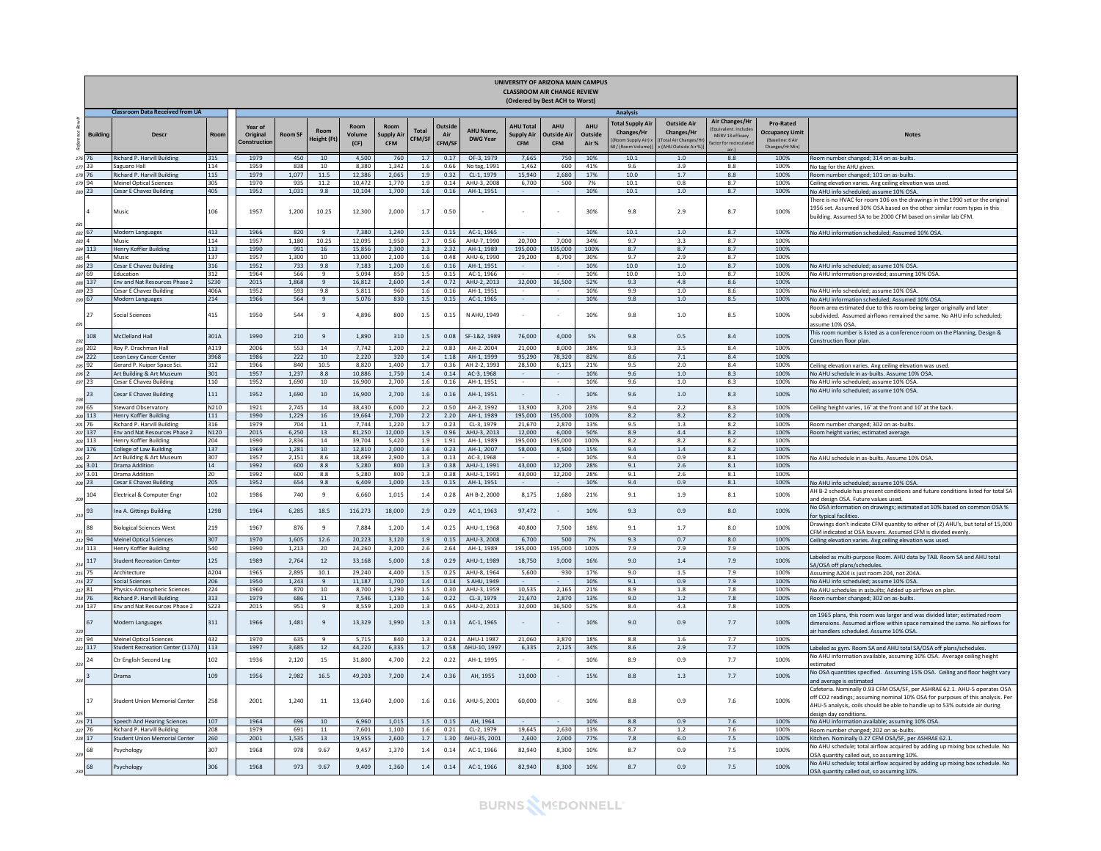|                      |                                                                    |             |                                    |                |                    |                        |                                |                        |                         |                              | UNIVERSITY OF ARIZONA MAIN CAMPUS<br><b>CLASSROOM AIR CHANGE REVIEW</b><br>(Ordered by Best ACH to Worst) |                                |                         |                                                                    |                                                                               |                                                                                |                                                                                   |                                                                                                                                                                                                                                                                     |
|----------------------|--------------------------------------------------------------------|-------------|------------------------------------|----------------|--------------------|------------------------|--------------------------------|------------------------|-------------------------|------------------------------|-----------------------------------------------------------------------------------------------------------|--------------------------------|-------------------------|--------------------------------------------------------------------|-------------------------------------------------------------------------------|--------------------------------------------------------------------------------|-----------------------------------------------------------------------------------|---------------------------------------------------------------------------------------------------------------------------------------------------------------------------------------------------------------------------------------------------------------------|
|                      | <b>Classroom Data Received from UA</b>                             |             |                                    |                |                    |                        |                                |                        |                         |                              |                                                                                                           |                                |                         | <b>Analysis</b>                                                    |                                                                               |                                                                                |                                                                                   |                                                                                                                                                                                                                                                                     |
| <b>Buildin</b>       | <b>Descr</b>                                                       | Roon        | Year of<br>Original<br>Constructio | Room SP        | leight (Ft)        | Room<br>Volume<br>(CF) | Room<br>upply Ai<br><b>CFM</b> | <b>Total</b><br>CFM/SI | Outsid<br>Air<br>CFM/SP | AHU Name,<br><b>DWG Year</b> | <b>AHU Total</b><br>Supply Air<br><b>CFM</b>                                                              | AHU<br>utside Ai<br><b>CFM</b> | AHU<br>Outside<br>Air % | otal Supply Air<br>Changes/Hr<br>oom Supply Air)<br>/ (Room Volume | <b>Outside Air</b><br>Changes/Hr<br>otal Air Changes/H<br>(AHU Outside Air %) | <b>Air Changes/Hr</b><br>ent Indud<br>MERV 13 efficacy<br>actor for recirculat | <b>Pro-Rated</b><br><b>Occupancy Limit</b><br>(Baseline: 6 Air<br>Changes/Hr Min) | <b>Notes</b>                                                                                                                                                                                                                                                        |
| 177                  | Richard P. Harvill Building<br>Saguaro Hall                        | 315<br>114  | 1979<br>1959                       | 450<br>838     | 10<br>10           | 4,500<br>8,380         | 760<br>1,342                   | 1.7<br>1.6             | 0.17<br>0.66            | OF-3, 1979<br>No tag, 1991   | 7,665<br>1,462                                                                                            | 750<br>600                     | 10%<br>41%              | 10.1<br>9.6                                                        | 1.0<br>3.9                                                                    | 8.8<br>8.8                                                                     | 100%<br>100%                                                                      | Room number changed; 314 on as-builts.<br>No tag for the AHU given.                                                                                                                                                                                                 |
|                      | Richard P. Harvill Building                                        | 115         | 1979                               | 1,077          | 11.5               | 12,386                 | 2,065                          | 1.9                    | 0.32                    | CL-1, 1979                   | 15,940                                                                                                    | 2,680                          | 17%                     | 10.0                                                               | 1.7                                                                           | 8.8                                                                            | 100%                                                                              | Room number changed; 101 on as-builts.                                                                                                                                                                                                                              |
| 179 94               | Meinel Optical Sciences                                            | 305         | 1970                               | 935            | 11.2               | 10,472                 | 1,770                          | 1.9                    | 0.14                    | AHU-3, 2008                  | 6,700                                                                                                     | 500                            | 7%                      | 10.1                                                               | 0.8                                                                           | 8.7                                                                            | 100%                                                                              | Ceiling elevation varies. Avg ceiling elevation was used.                                                                                                                                                                                                           |
| 180 23               | Cesar E Chavez Building                                            | 405         | 1952                               | 1,031          | 9.8                | 10,104                 | 1,700                          | 1.6                    | 0.16                    | AH-1, 1951                   |                                                                                                           |                                | 10%                     | 10.1                                                               | $1.0$                                                                         | 8.7                                                                            | 100%                                                                              | No AHU info scheduled; assume 10% OSA.                                                                                                                                                                                                                              |
|                      | Music                                                              | 106         | 1957                               | 1.200          | 10.25              | 12,300                 | 2.000                          | 1.7                    | 0.50                    |                              |                                                                                                           |                                | 30%                     | 9.8                                                                | 2.9                                                                           | 8.7                                                                            | 100%                                                                              | There is no HVAC for room 106 on the drawings in the 1990 set or the original<br>1956 set. Assumed 30% OSA based on the other similar room types in this<br>building. Assumed SA to be 2000 CFM based on similar lab CFM.                                           |
|                      | Modern Languages                                                   | 413         | 1966                               | 820            | 9                  | 7,380                  | 1,240                          | 1.5                    | 0.15                    | AC-1, 1965                   |                                                                                                           |                                | 10%                     | 10.1<br>97                                                         | 1.0<br>ર ર                                                                    | 8.7                                                                            | 100%                                                                              | No AHU information scheduled; Assumed 10% OSA.                                                                                                                                                                                                                      |
|                      | Music                                                              | 114         | 1957                               | 1,180          | 10.25              | 12,095                 | 1.950                          | 1.7                    | 0.56                    | AHU-7, 1990                  | 20,700                                                                                                    | 7,000                          | 34%                     |                                                                    | 8.7                                                                           | 8.7                                                                            | 100%                                                                              |                                                                                                                                                                                                                                                                     |
| 184 113              | Henry Koffler Building<br>Music                                    | 113<br>137  | 1990<br>1957                       | 991<br>1.300   | 16<br>10           | 15,856<br>13,000       | 2,300<br>2,100                 | 2.3<br>1.6             | 2.32<br>0.48            | AH-1, 1989<br>AHU-6, 1990    | 195,000<br>29,200                                                                                         | 195,000<br>8,700               | 100%<br>30%             | 8.7<br>9.7                                                         | 2.9                                                                           | 8.7<br>8.7                                                                     | 100%<br>100%                                                                      |                                                                                                                                                                                                                                                                     |
| 186 23               | Cesar E Chavez Building                                            | 316         | 1952                               | 733            | 9.8                | 7.183                  | 1.200                          | 1.6                    | 0.16                    | AH-1, 1951                   |                                                                                                           |                                | 10%                     | 10.0                                                               | 1.0                                                                           | 8.7                                                                            | 100%                                                                              | No AHU info scheduled: assume 10% OSA.                                                                                                                                                                                                                              |
|                      | Education                                                          | 312         | 1964                               | 566            | $\mathbf{q}$       | 5,094                  | 850                            | $1.5$                  | 0.15                    | AC-1, 1966                   |                                                                                                           |                                | 10%                     | 10.0                                                               | 1.0                                                                           | 8.7                                                                            | 100%                                                                              | No AHU information provided; assuming 10% OSA.                                                                                                                                                                                                                      |
| 188 137              | Env and Nat Resources Phase 2                                      | S230        | 2015                               | 1,868          | $\overline{9}$     | 16,812                 | 2.600                          | 1.4                    | 0.72                    | AHU-2, 2013                  | 32,000                                                                                                    | 16,500                         | 52%                     | 9.3                                                                | 4.8                                                                           | 8.6                                                                            | 100%                                                                              |                                                                                                                                                                                                                                                                     |
| 189 23               | Cesar E Chavez Building                                            | 406A        | 1952                               | 593            | 9.8                | 5,811                  | 960                            | 1.6                    | 0.16                    | AH-1, 1951                   |                                                                                                           |                                | 10%                     | 9.9                                                                | $1.0$                                                                         | 8.6                                                                            | 100%                                                                              | No AHU info scheduled; assume 10% OSA.                                                                                                                                                                                                                              |
| 190 67               | Modern Languages                                                   | 214         | 1966                               | 564            | 9                  | 5.076                  | 830                            | 1.5                    | 0.15                    | AC-1, 1965                   |                                                                                                           | $\sim$                         | 10%                     | 9.8                                                                | 1.0                                                                           | 8.5                                                                            | 100%                                                                              | No AHU information scheduled: Assumed 10% OSA.                                                                                                                                                                                                                      |
| 27                   | Social Sciences                                                    | 415         | 1950                               | 544            | 9                  | 4,896                  | 800                            | 1.5                    | 0.15                    | N AHU, 1949                  |                                                                                                           |                                | 10%                     | 9.8                                                                | $1.0$                                                                         | 8.5                                                                            | 100%                                                                              | toom area estimated due to this room being larger originally and later<br>subdivided. Assumed airflows remained the same. No AHU info scheduled;<br>assume 10% OSA.                                                                                                 |
| 108                  | <b>AcClelland Hall</b>                                             | 301A        | 1990                               | 210            | 9                  | 1.890                  | 310                            | 1.5                    | 0.08                    | SF-1&2, 1989                 | 76,000                                                                                                    | 4.000                          | 5%                      | 9.8                                                                | 0.5                                                                           | 8.4                                                                            | 100%                                                                              | This room number is listed as a conference room on the Planning, Design &                                                                                                                                                                                           |
| 193 202              | Roy P. Drachman Hall                                               | A119        | 2006                               | 553            | 14                 | 7,742                  | 1,200                          | 2.2                    | 0.83                    | AH-2, 2004                   | 21,000                                                                                                    | 8,000                          | 38%                     | 9.3                                                                | 3.5                                                                           | 8.4                                                                            | 100%                                                                              | Construction floor plan.                                                                                                                                                                                                                                            |
| 194 222              | Leon Levy Cancer Center                                            | 3968        | 1986                               | 222            | 10                 | 2,220                  | 320                            | 1.4                    | 1.18                    | AH-1, 1999                   | 95,290                                                                                                    | 78,320                         | 82%                     | 8.6                                                                | 7.1                                                                           | 8.4                                                                            | 100%                                                                              |                                                                                                                                                                                                                                                                     |
| 195 92               | Gerard P. Kuiper Space Sci.                                        | 312         | 1966                               | 840            | 10.5               | 8.820                  | 1.400                          | 1.7                    | 0.36                    | AH 2-2, 1993                 | 28.500                                                                                                    | 6.125                          | 21%                     | 9.5                                                                | 2.0                                                                           | 8.4                                                                            | 100%                                                                              | Ceiling elevation varies. Avg ceiling elevation was used.                                                                                                                                                                                                           |
|                      | Art Building & Art Museum                                          | 301         | 1957                               | 1,237          | 8.8                | 10,886                 | 1,750                          | 1.4                    | 0.14                    | AC-3, 1968                   |                                                                                                           |                                | 10%                     | 9.6                                                                | $1.0$                                                                         | 8.3                                                                            | 100%                                                                              | No AHU schedule in as-builts. Assume 10% OSA                                                                                                                                                                                                                        |
| 197 23               | Cesar E Chavez Building                                            | 110         | 1952                               | 1.690          | 10                 | 16,900                 | 2.700                          | 1.6                    | 0.16                    | AH-1, 1951                   |                                                                                                           |                                | 10%                     | 9.6                                                                | 1.0                                                                           | 8.3                                                                            | 100%                                                                              | No AHU info scheduled; assume 10% OSA.                                                                                                                                                                                                                              |
| 23                   | Cesar E Chavez Building                                            | 111         | 1952                               | 1.690          | 10                 | 16,900                 | 2.700                          | 1.6                    | 0.16                    | AH-1, 1951                   |                                                                                                           | $\sim$                         | 10%                     | 9.6                                                                | 1.0                                                                           | 8.3                                                                            | 100%                                                                              | No AHU info scheduled; assume 10% OSA.                                                                                                                                                                                                                              |
| 199 65               | Steward Observatory                                                | N210        | 1921                               | 2,745          | 14                 | 38,430                 | 6,000                          | 2.2                    | 0.50                    | AH-2, 1992                   | 13,900                                                                                                    | 3,200                          | 23%                     | 9.4                                                                | 2.2                                                                           | 8.3                                                                            | 100%                                                                              | Ceiling height varies, 16' at the front and 10' at the back.                                                                                                                                                                                                        |
| 200 113<br>$201$ 76  | lenry Koffler Building                                             | 111         | 1990                               | 1,229          | 16                 | 19,664                 | 2,700                          | 2.2                    | 2.20                    | AH-1, 1989                   | 195,000                                                                                                   | 195,000                        | 100%                    | 8.2                                                                | 8.2                                                                           | $8.2\,$                                                                        | 100%                                                                              |                                                                                                                                                                                                                                                                     |
|                      | Richard P. Harvill Building                                        | 316         | 1979                               | 704            | 11                 | 7,744                  | 1.220                          | 1.7<br>1.9             | 0.23<br>0.96            | CL-3, 1979                   | 21,670<br>12,000                                                                                          | 2,870                          | 13%<br>50%              | 9.5                                                                | 1.3                                                                           | 8.2                                                                            | 100%                                                                              | Room number changed; 302 on as-builts.                                                                                                                                                                                                                              |
| 202 137<br>$203$ 113 | Env and Nat Resources Phase 2<br>Henry Koffler Building            | N120<br>204 | 2015<br>1990                       | 6,250<br>2.836 | 13<br>14           | 81,250<br>39.704       | 12,000<br>5.420                | 1.9                    | 1.91                    | AHU-3, 2013<br>AH-1, 1989    | 195.000                                                                                                   | 6,000<br>195,000               | 100%                    | 8.9<br>8.2                                                         | 4.4<br>8.2                                                                    | 8.2<br>8.2                                                                     | 100%<br>100%                                                                      | Room height varies; estimated average.                                                                                                                                                                                                                              |
| 204 176              | College of Law Building                                            | 137         | 1969                               | 1,281          | 10                 | 12,810                 | 2,000                          | 1.6                    | 0.23                    | AH-1, 2007                   | 58,000                                                                                                    | 8,500                          | 15%                     | 9.4                                                                | $1.4\,$                                                                       | 8.2                                                                            | 100%                                                                              |                                                                                                                                                                                                                                                                     |
|                      | Art Building & Art Museum                                          | 307         | 1957                               | 2.151          | 8.6                | 18.499                 | 2.900                          | 1.3                    | 0.13                    | AC-3, 1968                   |                                                                                                           |                                | 10%                     | 9.4                                                                | 0.9                                                                           | 8.1                                                                            | 100%                                                                              | No AHU schedule in as-builts. Assume 10% OSA                                                                                                                                                                                                                        |
| 206 3.01             | <b>Drama Addition</b>                                              | 14          | 1992                               | 600            | 8.8                | 5,280                  | 800                            | 1.3                    | 0.38                    | AHU-1, 1991                  | 43,000                                                                                                    | 12,200                         | 28%                     | 9.1                                                                | 2.6                                                                           | 8.1                                                                            | 100%                                                                              |                                                                                                                                                                                                                                                                     |
| $207 - 3.01$         | Drama Addition                                                     | 20          | 1992                               | 600            | 8.8                | 5.280                  | 800                            | 1.3                    | 0.38                    | AHU-1, 1991                  | 43.000                                                                                                    | 12,200                         | 28%                     | 9.1                                                                | 2.6                                                                           | 8.1                                                                            | 100%                                                                              |                                                                                                                                                                                                                                                                     |
| 208 23               | esar E Chavez Building                                             | 205         | 1952                               | 654            | 9.8                | 6,409                  | 1,000                          | $1.5\,$                | 0.15                    | AH-1, 1951                   |                                                                                                           |                                | 10%                     | 9.4                                                                | 0.9                                                                           | $8.1\,$                                                                        | 100%                                                                              | No AHU info scheduled; assume 10% OSA.                                                                                                                                                                                                                              |
| 104                  | Electrical & Computer Engr                                         | 102         | 1986                               | 740            | 9                  | 6,660                  | 1.015                          | 1.4                    | 0.28                    | AH B-2, 2000                 | 8.175                                                                                                     | 1,680                          | 21%                     | 9.1                                                                | $1.9\,$                                                                       | 8.1                                                                            | 100%                                                                              | AH B-2 schedule has present conditions and future conditions listed for total SA<br>and design OSA. Future values used.                                                                                                                                             |
|                      | na A. Gittings Building                                            | 129B        | 1964                               | 6,285          | 18.5               | 116,273                | 18,000                         | 2.9                    | 0.29                    | AC-1, 1963                   | 97,472                                                                                                    |                                | 10%                     | 9.3                                                                | 0.9                                                                           | 8.0                                                                            | 100%                                                                              | No OSA information on drawings; estimated at 10% based on common OSA %<br>for typical facilities.<br>Drawings don't indicate CFM quantity to either of (2) AHU's, but total of 15,000                                                                               |
|                      | <b>Biological Sciences West</b>                                    | 219         | 1967                               | 876            | $\overline{9}$     | 7,884                  | 1,200                          | 1.4                    | 0.25                    | AHU-1, 1968                  | 40,800                                                                                                    | 7,500                          | 18%                     | 9.1                                                                | 1.7                                                                           | 8.0                                                                            | 100%                                                                              | CFM indicated at OSA louvers. Assumed CFM is divided evenly.                                                                                                                                                                                                        |
| 212 94               | <b>Meinel Optical Sciences</b>                                     | 307         | 1970                               | 1,605          | 12.6               | 20,223                 | 3,120                          | 1.9                    | 0.15                    | AHU-3, 2008                  | 6,700                                                                                                     | 500                            | 7%                      | 9.3                                                                | 0.7                                                                           | 8.0                                                                            | 100%                                                                              | Ceiling elevation varies. Avg ceiling elevation was used.                                                                                                                                                                                                           |
| 213 113              | lenry Koffler Building                                             | 540         | 1990                               | 1,213          | 20                 | 24,260                 | 3,200                          | 2.6                    | 2.64                    | AH-1, 1989                   | 195.000                                                                                                   | 195,000                        | 100%                    | 7.9                                                                | 7.9                                                                           | 7.9                                                                            | 100%                                                                              |                                                                                                                                                                                                                                                                     |
| 117                  | <b>Student Recreation Center</b>                                   | 125         | 1989                               | 2.764          | 12                 | 33.168                 | 5,000                          | 1.8                    | 0.29                    | AHU-1, 1989                  | 18.750                                                                                                    | 3,000                          | 16%                     | 9.0                                                                | 1.4                                                                           | 7.9                                                                            | 100%                                                                              | Labeled as multi-purpose Room, AHU data by TAB, Room SA and AHU total<br>SA/OSA off plans/schedules.                                                                                                                                                                |
| 216 27               | Architecture                                                       | A204        | 1965                               | 2,895          | 10.1               | 29,240                 | 4,400                          | 1.5                    | 0.25                    | AHU-8, 1964                  | 5.600                                                                                                     | 930                            | 17%                     | 9.0                                                                | 1.5                                                                           | 7.9                                                                            | 100%                                                                              | Assuming A204 is just room 204, not 204A.                                                                                                                                                                                                                           |
| 217 81               | ocial Sciences                                                     | 206<br>224  | 1950<br>1960                       | 1,243<br>870   | $\mathbf{q}$<br>10 | 11,187<br>8.700        | 1,700<br>1.290                 | 1.4<br>1.5             | 0.14<br>0.30            | S AHU, 1949<br>AHU-3, 1959   | 10,535                                                                                                    | 2,165                          | 10%<br>21%              | 9.1<br>8.9                                                         | 0.9<br>1.8                                                                    | 7.9<br>7.8                                                                     | 100%<br>100%                                                                      | No AHU info scheduled; assume 10% OSA.<br>No AHU schedules in asbuilts: Added up airflows on plan.                                                                                                                                                                  |
|                      | Physics-Atmospheric Sciences<br>Richard P. Harvill Building        | 313         | 1979                               | 686            | 11                 | 7,546                  | 1,130                          | 1.6                    | 0.22                    | CL-3, 1979                   | 21,670                                                                                                    | 2,870                          | 13%                     | 9.0                                                                | 1.2                                                                           | 7.8                                                                            | 100%                                                                              | Room number changed; 302 on as-builts.                                                                                                                                                                                                                              |
| 218 76<br>219 137    | Env and Nat Resources Phase 2                                      | S223        | 2015                               | 951            | -9                 | 8.559                  | 1,200                          | 1.3                    | 0.65                    | AHU-2, 2013                  | 32,000                                                                                                    | 16,500                         | 52%                     | 8.4                                                                | 4.3                                                                           | 7.8                                                                            | 100%                                                                              |                                                                                                                                                                                                                                                                     |
|                      | Modern Languages                                                   | 311         | 1966                               | 1,481          | 9                  | 13,329                 | 1,990                          | 1.3                    | 0.13                    | AC-1, 1965                   |                                                                                                           |                                | 10%                     | 9.0                                                                | 0.9                                                                           | 7.7                                                                            | 100%                                                                              | on 1965 plans, this room was larger and was divided later; estimated room<br>mensions. Assumed airflow within space remained the same. No airflows for<br>air handlers scheduled. Assume 10% OSA.                                                                   |
| 221 94<br>222 117    | <b>Aeinel Optical Sciences</b><br>Student Recreation Center (117A) | 432<br>113  | 1970<br>1997                       | 635<br>3,685   | $\mathbf{q}$<br>12 | 5.715<br>44,220        | 840<br>6,335                   | 1.3<br>1.7             | 0.24<br>0.58            | AHU-1 1987<br>AHU-10, 1997   | 21,060<br>6,335                                                                                           | 3,870<br>2,125                 | 18%<br>34%              | 8.8<br>8.6                                                         | 1.6<br>2.9                                                                    | 7.7<br>7.7                                                                     | 100%<br>100%                                                                      | Labeled as gym. Room SA and AHU total SA/OSA off plans/schedules.                                                                                                                                                                                                   |
|                      | Ctr English Second Lng                                             | 102         | 1936                               | 2,120          | 15                 | 31,800                 | 4,700                          | 2.2                    | 0.22                    | AH-1, 1995                   |                                                                                                           |                                | 10%                     | 8.9                                                                | 0.9                                                                           | 7.7                                                                            | 100%                                                                              | No AHU information available, assuming 10% OSA. Average ceiling height                                                                                                                                                                                              |
|                      | rama                                                               | 109         | 1956                               | 2,982          | 16.5               | 49.203                 | 7,200                          | 2.4                    | 0.36                    | AH. 1955                     | 13,000                                                                                                    | $\sim$                         | 15%                     | 8.8                                                                | $1.3\,$                                                                       | 7.7                                                                            | 100%                                                                              | estimated<br>No OSA quantities specified. Assuming 15% OSA. Ceiling and floor height vary<br>and average is estimated                                                                                                                                               |
|                      | <b>Student Union Memorial Center</b>                               | 258         | 2001                               | 1.240          | 11                 | 13,640                 | 2.000                          | - 1.6                  | 0.16                    | AHU-5, 2001                  | 60,000                                                                                                    |                                | 10%                     | 8.8                                                                | 0.9                                                                           | 7.6                                                                            | 100%                                                                              | Cafeteria. Nominally 0.93 CFM OSA/SF, per ASHRAE 62.1. AHU-5 operates OSA<br>off CO2 readings; assuming nominal 10% OSA for purposes of this analysis. Per<br>AHU-5 analysis, coils should be able to handle up to 53% outside air during<br>design day conditions. |
| 226 71               | Speech And Hearing Sciences                                        | 107         | 1964                               | 696            | 10                 | 6,960                  | 1,015                          | 1.5                    | 0.15                    | AH, 1964                     |                                                                                                           |                                | 10%                     | 8.8                                                                | 0.9                                                                           | 7.6                                                                            | 100%                                                                              | No AHU information available; assuming 10% OSA.                                                                                                                                                                                                                     |
| 227 76               | Richard P. Harvill Building                                        | 208         | 1979                               | 691            | 11                 | 7,601                  | 1,100                          | $1.6\,$                | 0.21                    | CL-2, 1979                   | 19,645                                                                                                    | 2,630                          | 13%                     | 8.7                                                                | 1.2                                                                           | 7.6                                                                            | 100%                                                                              | Room number changed; 202 on as-builts.                                                                                                                                                                                                                              |
| 228 17               | tudent Union Memorial Center                                       | 260         | 2001                               | 1,535          | 13                 | 19,955                 | 2,600                          | 1.7                    | 1.30                    | AHU-35, 2001                 | 2,600                                                                                                     | 2,000                          | 77%                     | 7.8                                                                | 6.0                                                                           | 7.5                                                                            | 100%                                                                              | Kitchen. Nominally 0.27 CFM OSA/SF, per ASHRAE 62.1.                                                                                                                                                                                                                |
|                      | Psychology                                                         | 307         | 1968                               | 978            | 9.67               | 9,457                  | 1.370                          | 1.4                    | 0.14                    | AC-1, 1966                   | 82.940                                                                                                    | 8,300                          | 10%                     | 8.7                                                                | 0.9                                                                           | 7.5                                                                            | 100%                                                                              | No AHU schedule; total airflow acquired by adding up mixing box schedule. No<br>OSA quantity called out, so assuming 10%.                                                                                                                                           |
|                      | Psychology                                                         | 306         | 1968                               | 973            | 9.67               | 9,409                  | 1,360                          | 1.4                    | 0.14                    | AC-1, 1966                   | 82,940                                                                                                    | 8,300                          | 10%                     | 8.7                                                                | 0.9                                                                           | 7.5                                                                            | 100%                                                                              | No AHU schedule; total airflow acquired by adding up mixing box schedule. No<br>OSA quantity called out, so assuming 10%.                                                                                                                                           |

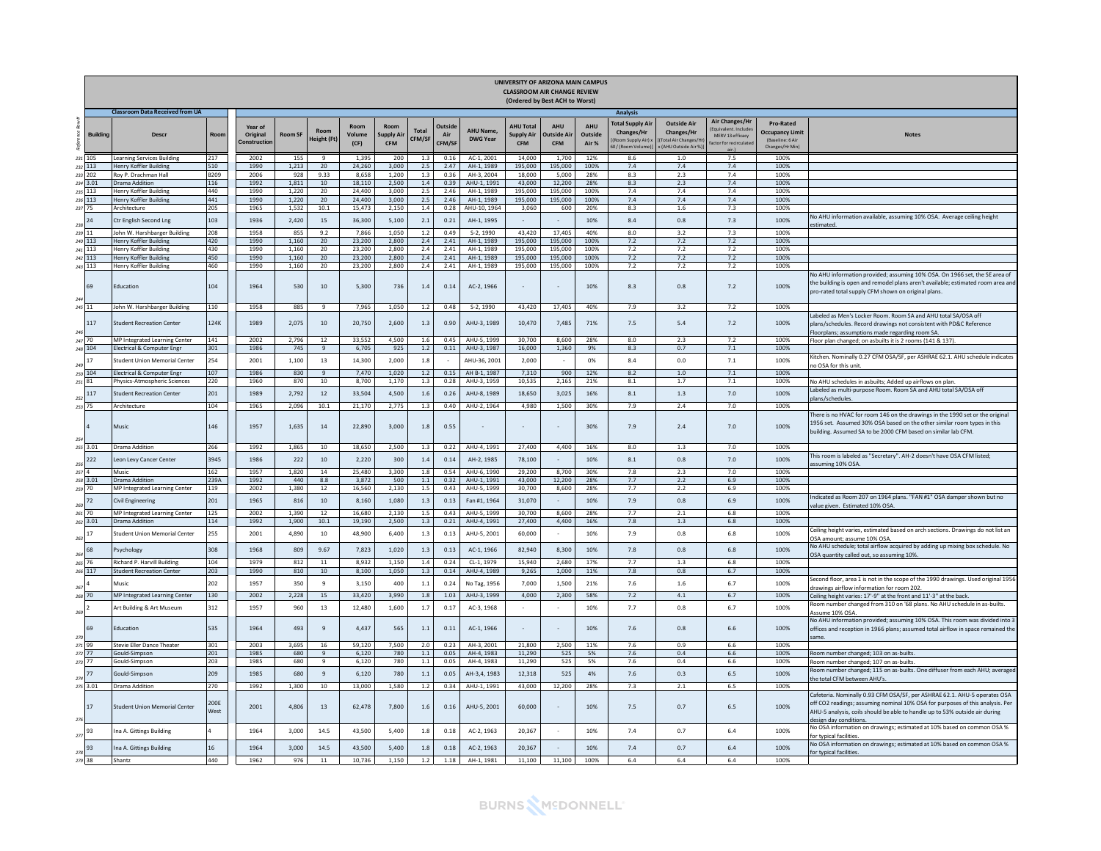|                |                     |                                                    |              |                                    |                |                        |                        |                                 |                        |                                 |                                     |                                                     | UNIVERSITY OF ARIZONA MAIN CAMPUS<br><b>CLASSROOM AIR CHANGE REVIEW</b><br>(Ordered by Best ACH to Worst) |                                |                                                                               |                                                                                                   |                                                                  |                                                                           |                                                                                                                                                                                                                                                                     |
|----------------|---------------------|----------------------------------------------------|--------------|------------------------------------|----------------|------------------------|------------------------|---------------------------------|------------------------|---------------------------------|-------------------------------------|-----------------------------------------------------|-----------------------------------------------------------------------------------------------------------|--------------------------------|-------------------------------------------------------------------------------|---------------------------------------------------------------------------------------------------|------------------------------------------------------------------|---------------------------------------------------------------------------|---------------------------------------------------------------------------------------------------------------------------------------------------------------------------------------------------------------------------------------------------------------------|
|                |                     | <b>Classroom Data Received from UA</b>             |              |                                    |                |                        |                        |                                 |                        |                                 |                                     |                                                     |                                                                                                           |                                | Analysis                                                                      |                                                                                                   |                                                                  |                                                                           |                                                                                                                                                                                                                                                                     |
| refe           | <b>Building</b>     | <b>Descr</b>                                       | Roon         | Year of<br>Original<br>Constructio | <b>Room SF</b> | Room<br>leight (Ft)    | Room<br>Volume<br>(CF) | Room<br>Supply Ai<br><b>CFM</b> | <b>Total</b><br>CFM/SI | <b>Qutside</b><br>Air<br>CFM/SF | <b>AHU Name.</b><br><b>DWG Year</b> | <b>AHU Total</b><br><b>Supply Air</b><br><b>CFM</b> | <b>AHII</b><br>Outside Air<br><b>CFM</b>                                                                  | <b>AHU</b><br>Outside<br>Air % | <b>Total Supply Air</b><br>Changes/Hr<br>(Room Supply Air):<br>0/(Room Volume | <b>Outside Air</b><br><b>Changes/Hr</b><br><b>Total Air Changes/H</b><br><b>AHLLOutside Air %</b> | <b>Air Changes/Hr</b><br>MERV 13 efficacy<br>tor for recirculate | Pro-Rated<br><b>Occupancy Limit</b><br>(Baseline: 6 Air<br>Changes/Hr Min | <b>Notes</b>                                                                                                                                                                                                                                                        |
| 231            | 105                 | Learning Services Building                         | 217          | 2002                               | 155            | 9                      | 1.395                  | 200                             | 1.3                    | 0.16                            | AC-1, 2001                          | 14.000                                              | 1.700                                                                                                     | 12%                            | 8.6                                                                           | 1.0                                                                                               | 7.5                                                              | 100%                                                                      |                                                                                                                                                                                                                                                                     |
| 233            | 232 113<br>202      | Henry Koffler Building<br>Rov P. Drachman Hall     | 510<br>B209  | 1990<br>2006                       | 1,213<br>928   | 20<br>9.33             | 24,260<br>8.658        | 3,000<br>1.200                  | 2.5<br>1.3             | 2.47<br>0.36                    | AH-1, 1989<br>AH-3, 2004            | 195,000<br>18,000                                   | 195,000<br>5.000                                                                                          | 100%<br>28%                    | 7.4<br>8.3                                                                    | 7.4<br>2.3                                                                                        | 7.4<br>7.4                                                       | 100%<br>100%                                                              |                                                                                                                                                                                                                                                                     |
|                | 234 3.01            | Drama Addition                                     | 116          | 1992                               | 1,811          | 10                     | 18,110                 | 2,500                           | $1.4\,$                | 0.39                            | AHU-1, 1991                         | 43,000                                              | 12,200                                                                                                    | 28%                            | 8.3                                                                           | 2.3                                                                                               | 7.4                                                              | 100%                                                                      |                                                                                                                                                                                                                                                                     |
| 235            | 113                 | Henry Koffler Building                             | 440          | 1990                               | 1,220          | 20                     | 24,400                 | 3,000                           | 2.5                    | 2.46                            | AH-1, 1989                          | 195,000                                             | 195.000                                                                                                   | 100%                           | 7.4                                                                           | 7.4                                                                                               | 7.4                                                              | 100%                                                                      |                                                                                                                                                                                                                                                                     |
|                | 236 113<br>237 75   | Henry Koffler Building<br>Architecture             | 441<br>205   | 1990<br>1965                       | 1.220<br>1,532 | 20<br>10.1             | 24,400<br>15.473       | 3.000<br>2.150                  | 2.5<br>1.4             | 2.46<br>0.28                    | AH-1, 1989<br>AHU-10, 1964          | 195,000<br>3.060                                    | 195,000<br>600                                                                                            | 100%<br>20%                    | 7.4<br>8.3                                                                    | 7.4<br>$1.6\,$                                                                                    | 7.4<br>7.3                                                       | 100%<br>100%                                                              |                                                                                                                                                                                                                                                                     |
| 238            | 24                  | Ctr English Second Lng                             | 103          | 1936                               | 2,420          | 15                     | 36,300                 | 5.100                           | 2.1                    | 0.21                            | AH-1, 1995                          | $\sim$                                              |                                                                                                           | 10%                            | 8.4                                                                           | 0.8                                                                                               | 7.3                                                              | 100%                                                                      | No AHU information available, assuming 10% OSA. Average ceiling height<br>stimated                                                                                                                                                                                  |
|                | 239 11              | John W. Harshbarger Building                       | 208          | 1958                               | 855            | 9.2                    | 7.866                  | 1.050                           | 1.2                    | 0.49                            | S-2, 1990                           | 43,420                                              | 17,405                                                                                                    | 40%                            | 8.0                                                                           | 3.2                                                                                               | 7.3                                                              | 100%                                                                      |                                                                                                                                                                                                                                                                     |
|                | 240 113<br>241 113  | Henry Koffler Building<br>Henry Koffler Building   | 420<br>430   | 1990<br>1990                       | 1.160<br>1,160 | 20<br>20               | 23.200<br>23,200       | 2.800<br>2,800                  | 2.4<br>2.4             | 2.41<br>2.41                    | AH-1, 1989<br>AH-1, 1989            | 195,000<br>195,000                                  | 195.000<br>195,000                                                                                        | 100%<br>100%                   | 7.2<br>7.2                                                                    | 7.2<br>7.2                                                                                        | 7.2<br>7.2                                                       | 100%<br>100%                                                              |                                                                                                                                                                                                                                                                     |
|                | 242 113             | Henry Koffler Building                             | 450          | 1990                               | 1,160          | 20                     | 23,200                 | 2,800                           | 2.4                    | 2.41                            | AH-1, 1989                          | 195,000                                             | 195,000                                                                                                   | 100%                           | 7.2                                                                           | 7.2                                                                                               | 7.2                                                              | 100%                                                                      |                                                                                                                                                                                                                                                                     |
|                | 243 113             | Henry Koffler Building                             | 460          | 1990                               | 1.160          | 20                     | 23,200                 | 2,800                           | 2.4                    | 2.41                            | AH-1, 1989                          | 195,000                                             | 195,000                                                                                                   | 100%                           | 7.2                                                                           | 7.2                                                                                               | 7.2                                                              | 100%                                                                      |                                                                                                                                                                                                                                                                     |
| 24             | 69                  | Education                                          | 104          | 1964                               | 530            | 10 <sup>10</sup>       | 5,300                  | 736                             | 1.4                    | 0.14                            | AC-2, 1966                          |                                                     |                                                                                                           | 10%                            | 8.3                                                                           | 0.8                                                                                               | 7.2                                                              | 100%                                                                      | No AHU information provided; assuming 10% OSA. On 1966 set, the SE area of<br>the building is open and remodel plans aren't available; estimated room area and<br>pro-rated total supply CFM shown on original plans.                                               |
|                | $245$ $11$          | Iohn W. Harshbarger Building                       | 110          | 1958                               | 885            | 9                      | 7,965                  | 1,050                           | 1.2                    | 0.48                            | $S-2, 1990$                         | 43,420                                              | 17,405                                                                                                    | 40%                            | 7.9                                                                           | 3.2                                                                                               | 7.2                                                              | 100%                                                                      |                                                                                                                                                                                                                                                                     |
| 246            | 117                 | <b>Student Recreation Center</b>                   | 124K         | 1989                               | 2,075          | 10 <sup>10</sup>       | 20,750                 | 2,600                           | 1.3                    | 0.90                            | AHU-3, 1989                         | 10,470                                              | 7,485                                                                                                     | 71%                            | 7.5                                                                           | 5.4                                                                                               | 7.2                                                              | 100%                                                                      | Labeled as Men's Locker Room. Room SA and AHU total SA/OSA off<br>plans/schedules. Record drawings not consistent with PD&C Reference<br>Floorplans; assumptions made regarding room SA                                                                             |
|                | $247 \overline{70}$ | MP Integrated Learning Center                      | 141          | 2002                               | 2,796          | 12                     | 33,552                 | 4.500                           | 1.6                    | 0.45                            | AHU-5, 1999                         | 30,700                                              | 8.600                                                                                                     | 28%                            | 8.0                                                                           | 2.3                                                                                               | 7.2                                                              | 100%                                                                      | Floor plan changed; on asbuilts it is 2 rooms (141 & 137).                                                                                                                                                                                                          |
|                | 248 104             | Electrical & Computer Engr                         | 301          | 1986                               | 745            | 9                      | 6.705                  | 925                             | $1.2\,$                | 0.11                            | AHU-3, 1987                         | 16,000                                              | 1.360                                                                                                     | 9%                             | 8.3                                                                           | 0.7                                                                                               | 7.1                                                              | 100%                                                                      | Kitchen. Nominally 0.27 CFM OSA/SF, per ASHRAE 62.1. AHU schedule indicates                                                                                                                                                                                         |
| 249            | 17                  | Student Union Memorial Center                      | 254          | 2001                               | 1,100          | 13                     | 14,300                 | 2.000                           | 1.8                    | ٠.                              | AHU-36, 2001                        | 2.000                                               | $\sim$                                                                                                    | 0%                             | 8.4                                                                           | 0.0                                                                                               | 7.1                                                              | 100%                                                                      | o OSA for this unit                                                                                                                                                                                                                                                 |
|                | 250 104             | Electrical & Computer Engr                         | 107          | 1986                               | 830            | 9                      | 7,470                  | 1,020                           | 1.2                    | 0.15                            | AH B-1, 1987                        | 7,310                                               | 900                                                                                                       | 12%                            | 8.2                                                                           | 1.0                                                                                               | $7.1\,$                                                          | 100%                                                                      |                                                                                                                                                                                                                                                                     |
|                | $251\,81$           | Physics-Atmospheric Sciences                       | 220          | 1960                               | 870            | 10                     | 8,700                  | 1.170                           | 1.3                    | 0.28                            | AHU-3, 1959                         | 10.535                                              | 2.165                                                                                                     | 21%                            | 8.1                                                                           | 1.7                                                                                               | 7.1                                                              | 100%                                                                      | No AHU schedules in asbuilts; Added up airflows on plan<br>Labeled as multi-purpose Room. Room SA and AHU total SA/OSA of                                                                                                                                           |
| 252            | 117                 | <b>Student Recreation Center</b>                   | 201          | 1989                               | 2,792          | 12                     | 33,504                 | 4,500                           | $1.6\,$                | 0.26                            | AHU-8, 1989                         | 18,650                                              | 3,025                                                                                                     | 16%                            | 8.1                                                                           | $1.3\,$                                                                                           | $7.0\,$                                                          | 100%                                                                      | lans/schedules                                                                                                                                                                                                                                                      |
|                | 253 75              | Architecture                                       | 104          | 1965                               | 2,096          | 10.1                   | 21,170                 | 2,775                           | 1.3                    | 0.40                            | AHU-2, 1964                         | 4,980                                               | 1,500                                                                                                     | 30%                            | 7.9                                                                           | 2.4                                                                                               | 7.0                                                              | 100%                                                                      |                                                                                                                                                                                                                                                                     |
| 254            |                     | Music                                              | 146          | 1957                               | 1,635          | 14                     | 22,890                 | 3,000                           | $1.8\,$                | 0.55                            |                                     |                                                     |                                                                                                           | 30%                            | 7.9                                                                           | 2.4                                                                                               | 7.0                                                              | 100%                                                                      | here is no HVAC for room 146 on the drawings in the 1990 set or the original<br>1956 set. Assumed 30% OSA based on the other similar room types in this<br>uilding. Assumed SA to be 2000 CFM based on similar lab CFM.                                             |
| 255            | 3.01                | <b>Drama Addition</b>                              | 266          | 1992                               | 1.865          | 10                     | 18,650                 | 2.500                           | 1.3                    | 0.22                            | AHU-4, 1991                         | 27,400                                              | 4.400                                                                                                     | 16%                            | 8.0                                                                           | 1.3                                                                                               | 7.0                                                              | 100%                                                                      |                                                                                                                                                                                                                                                                     |
| 256            | 222                 | Leon Levy Cancer Center                            | 3945         | 1986                               | 222            | 10                     | 2,220                  | 300                             | 1.4                    | 0.14                            | AH-2, 1985                          | 78,100                                              |                                                                                                           | 10%                            | 8.1                                                                           | 0.8                                                                                               | 7.0                                                              | 100%                                                                      | his room is labeled as "Secretary". AH-2 doesn't have OSA CFM listed;<br>ssuming 10% OSA                                                                                                                                                                            |
| 257            |                     | Music                                              | 162          | 1957                               | 1,820          | 14                     | 25,480                 | 3,300                           | 1.8                    | 0.54                            | AHU-6, 1990                         | 29,200                                              | 8.700                                                                                                     | 30%                            | 7.8                                                                           | 2.3                                                                                               | 7.0                                                              | 100%                                                                      |                                                                                                                                                                                                                                                                     |
|                | 258 3.01            | Drama Addition                                     | 239A         | 1992                               | 440            | 8.8                    | 3.872                  | 500                             | 1.1                    | 0.32                            | AHU-1, 1991                         | 43.000                                              | 12.200                                                                                                    | 28%                            | 7.7                                                                           | 2.2                                                                                               | 6.9                                                              | 100%                                                                      |                                                                                                                                                                                                                                                                     |
|                | 259 70              | <b>MP Integrated Learning Center</b>               | 119          | 2002                               | 1,380          | 12                     | 16.560                 | 2,130                           | 1.5                    | 0.43                            | AHU-5, 1999                         | 30.700                                              | 8.600                                                                                                     | 28%                            | 7.7                                                                           | 2.2                                                                                               | 6.9                                                              | 100%                                                                      |                                                                                                                                                                                                                                                                     |
| 260<br>261     | 72<br>70            | Civil Engineering<br>MP Integrated Learning Center | 201<br>125   | 1965<br>2002                       | 816<br>1.390   | 10 <sup>10</sup><br>12 | 8,160<br>16,680        | 1,080<br>2.130                  | 1.3<br>1.5             | 0.13<br>0.43                    | Fan #1, 1964<br>AHU-5, 1999         | 31,070<br>30,700                                    | 8.600                                                                                                     | 10%<br>28%                     | 7.9<br>7.7                                                                    | 0.8<br>2.1                                                                                        | 6.9<br>6.8                                                       | 100%<br>100%                                                              | ndicated as Room 207 on 1964 plans. "FAN #1" OSA damper shown but no<br>value given. Estimated 10% OSA.                                                                                                                                                             |
|                | 262 3.01            | Drama Addition                                     | 114          | 1992                               | 1,900          | 10.1                   | 19,190                 | 2,500                           | 1.3                    | 0.21                            | AHU-4, 1991                         | 27,400                                              | 4,400                                                                                                     | 16%                            | 7.8                                                                           | 1.3                                                                                               | 6.8                                                              | 100%                                                                      |                                                                                                                                                                                                                                                                     |
| 263            | 17                  | tudent Union Memorial Center                       | 255          | 2001                               | 4,890          | 10                     | 48,900                 | 6,400                           | $1.3\,$                | 0.13                            | AHU-5, 2001                         | 60,000                                              |                                                                                                           | 10%                            | 7.9                                                                           | 0.8                                                                                               | $6.8\,$                                                          | 100%                                                                      | ceiling height varies, estimated based on arch sections. Drawings do not list an<br><b>OSA</b> amount; assume 10% OSA<br>No AHU schedule; total airflow acquired by adding up mixing box schedule. No                                                               |
| 264            | 68                  | Psychology                                         | 308          | 1968                               | 809            | 9.67                   | 7,823                  | 1,020                           | $1.3\,$                | 0.13                            | AC-1, 1966                          | 82.940                                              | 8,300                                                                                                     | 10%                            | 7.8                                                                           | 0.8                                                                                               | $6.8\,$                                                          | 100%                                                                      | OSA quantity called out, so assuming 10%.                                                                                                                                                                                                                           |
|                | 265 76              | Richard P. Harvill Building                        | 104          | 1979                               | 812            | 11                     | 8,932                  | 1,150                           | 1.4                    | 0.24                            | CL-1, 1979                          | 15,940                                              | 2,680                                                                                                     | 17%                            | 7.7                                                                           | 1.3                                                                                               | 6.8                                                              | 100%                                                                      |                                                                                                                                                                                                                                                                     |
|                | 266 117             | <b>Itudent Recreation Center</b>                   | 203          | 1990                               | 810            | 10                     | 8,100                  | 1,050                           | $1.3$                  | 0.14                            | AHU-4, 1989                         | 9,265                                               | 1,000                                                                                                     | 11%                            | 7.8                                                                           | $0.8\,$                                                                                           | 6.7                                                              | 100%                                                                      |                                                                                                                                                                                                                                                                     |
| 267            |                     | Music                                              | 202          | 1957                               | 350            | $\overline{q}$         | 3,150                  | 400                             | 1.1                    | 0.24                            | No Tag, 1956                        | 7,000                                               | 1,500                                                                                                     | 21%                            | 7.6                                                                           | $1.6\,$                                                                                           | 6.7                                                              | 100%                                                                      | econd floor, area 1 is not in the scope of the 1990 drawings. Used original 1956<br>drawings airflow information for room 202                                                                                                                                       |
| 268            | 70                  | MP Integrated Learning Center                      | 130          | 2002                               | 2.228          | 15                     | 33,420                 | 3.990                           | 1.8                    | 1.03                            | AHU-3, 1999                         | 4,000                                               | 2.300                                                                                                     | 58%                            | 7.2                                                                           | 4.1                                                                                               | 6.7                                                              | 100%                                                                      | Ceiling height varies: 17'-9" at the front and 11'-3" at the back.                                                                                                                                                                                                  |
| 269            |                     | Art Building & Art Museum                          | 312          | 1957                               | 960            | 13                     | 12,480                 | 1,600                           | 1.7                    | 0.17                            | AC-3, 1968                          |                                                     |                                                                                                           | 10%                            | 7.7                                                                           | 0.8                                                                                               | 6.7                                                              | 100%                                                                      | Room number changed from 310 on '68 plans. No AHU schedule in as-builts.<br>ssume 10% OSA<br>No AHU information provided; assuming 10% OSA. This room was divided into 3                                                                                            |
| 270            | 69                  | Education                                          | 535          | 1964                               | 493            | $\mathbf{q}$           | 4.437                  | 565                             | $1.1\,$                | 0.11                            | AC-1, 1966                          |                                                     |                                                                                                           | 10%                            | 7.6                                                                           | 0.8                                                                                               | 6.6                                                              | 100%                                                                      | offices and reception in 1966 plans; assumed total airflow in space remained the<br>ame.                                                                                                                                                                            |
|                | 271 99<br>77        | Stevie Eller Dance Theater                         | 301          | 2003<br>1985                       | 3,695<br>680   | 16<br>9                | 59,120                 | 7,500                           | 2.0                    | 0.23                            | AH-3, 2001<br>AH-4, 1983            | 21,800                                              | 2.500                                                                                                     | 11%<br>5%                      | 7.6<br>7.6                                                                    | 0.9<br>0.4                                                                                        | 6.6<br>6.6                                                       | 100%                                                                      |                                                                                                                                                                                                                                                                     |
| $272\,$<br>273 | 77                  | Gould-Simpson<br>Gould-Simpson                     | 201<br>203   | 1985                               | 680            | و                      | 6,120<br>6,120         | 780<br>780                      | $1.1\,$<br>1.1         | 0.05<br>0.05                    | AH-4, 1983                          | 11,290<br>11,290                                    | 525<br>525                                                                                                | 5%                             | 7.6                                                                           | 0.4                                                                                               | 6.6                                                              | 100%<br>100%                                                              | Room number changed; 103 on as-builts<br>Room number changed: 107 on as-builts                                                                                                                                                                                      |
| 274            | 77                  | Gould-Simpson                                      | 209          | 1985                               | 680            | $\overline{q}$         | 6,120                  | 780                             | $1.1$                  | 0.05                            | AH-3,4, 1983                        | 12,318                                              | 525                                                                                                       | 4%                             | 7.6                                                                           | 0.3                                                                                               | $6.5\,$                                                          | 100%                                                                      | Room number changed; 115 on as-builts. One diffuser from each AHU; averaged<br>the total CFM between AHU's.                                                                                                                                                         |
|                | 275 3.01            | Drama Addition                                     | 270          | 1992                               | 1,300          | 10                     | 13,000                 | 1,580                           | $1.2\,$                | 0.34                            | AHU-1, 1991                         | 43,000                                              | 12,200                                                                                                    | 28%                            | 7.3                                                                           | 2.1                                                                                               | 6.5                                                              | 100%                                                                      |                                                                                                                                                                                                                                                                     |
| 276            | 17                  | <b>Student Union Memorial Center</b>               | 200E<br>West | 2001                               | 4,806          | 13                     | 62,478                 | 7,800                           | 1.6                    | 0.16                            | AHU-5, 2001                         | 60,000                                              |                                                                                                           | 10%                            | 7.5                                                                           | 0.7                                                                                               | $6.5\,$                                                          | 100%                                                                      | Cafeteria. Nominally 0.93 CFM OSA/SF, per ASHRAE 62.1. AHU-5 operates OSA<br>off CO2 readings: assuming nominal 10% OSA for purposes of this analysis. Per<br>AHU-5 analysis, coils should be able to handle up to 53% outside air during<br>design day conditions. |
| 277            | 93                  | Ina A. Gittings Building                           |              | 1964                               | 3,000          | 14.5                   | 43,500                 | 5.400                           | 1.8                    | 0.18                            | AC-2, 1963                          | 20.367                                              | $\overline{\phantom{a}}$                                                                                  | 10%                            | 7.4                                                                           | 0.7                                                                                               | 6.4                                                              | 100%                                                                      | No OSA information on drawings; estimated at 10% based on common OSA %<br>or typical facilities<br>No OSA information on drawings; estimated at 10% based on common OSA %                                                                                           |
| 278            | 93                  | Ina A. Gittings Building                           | 16           | 1964                               | 3.000          | 14.5                   | 43.500                 | 5.400                           | 1.8                    | 0.18                            | AC-2, 1963                          | 20.367                                              | $\sim$                                                                                                    | 10%                            | 7.4                                                                           | 0.7                                                                                               | 6.4                                                              | 100%                                                                      | or typical facilities.                                                                                                                                                                                                                                              |
|                | 279 38              | Shantz                                             | 440          | 1962                               | 976            | 11                     | 10,736                 | 1,150                           | 1.2                    | 1.18                            | AH-1, 1981                          | 11,100                                              | 11,100                                                                                                    | 100%                           | 6.4                                                                           | 6.4                                                                                               | 6.4                                                              | 100%                                                                      |                                                                                                                                                                                                                                                                     |

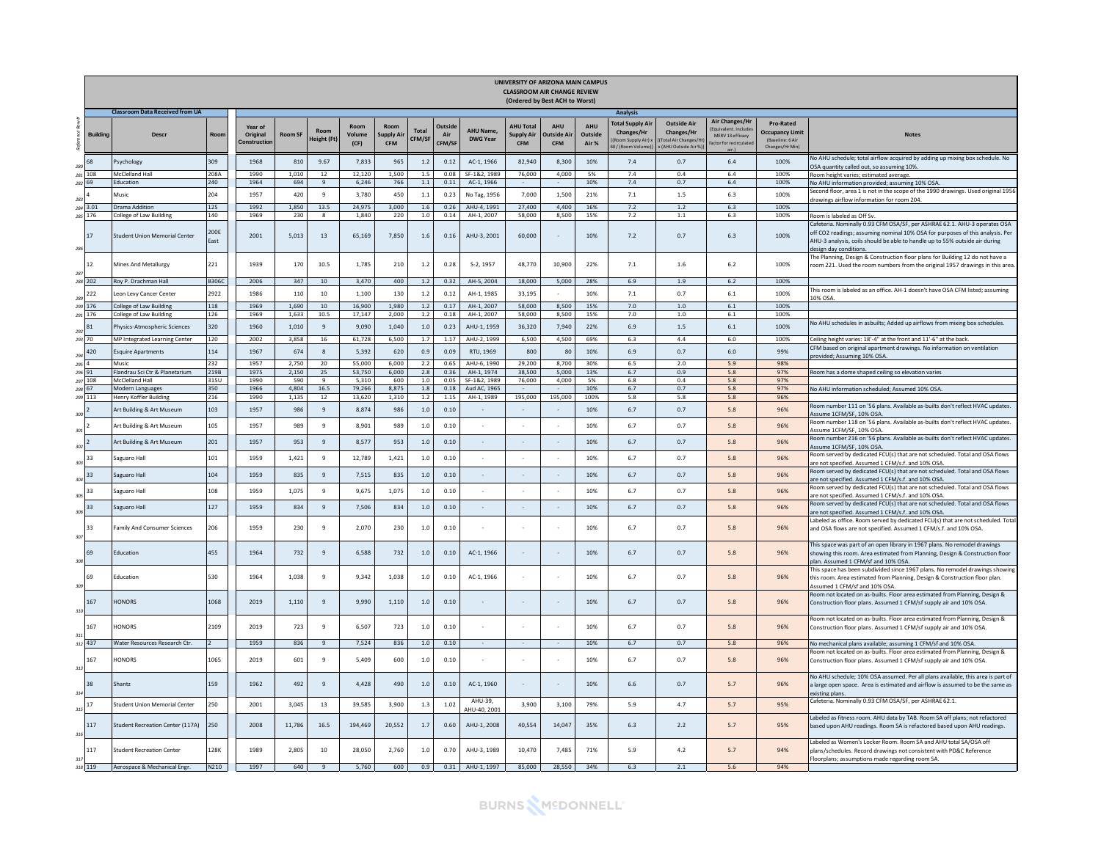|              |                 |                                                  |              |                                    |                |                         |                        |                                         |                |               |                                    | UNIVERSITY OF ARIZONA MAIN CAMPUS<br><b>CLASSROOM AIR CHANGE REVIEW</b> | (Ordered by Best ACH to Worst)         |                                |                                                                             |                                                                                      |                                                                    |                                                                                   |                                                                                                                                                                                                                                                                            |
|--------------|-----------------|--------------------------------------------------|--------------|------------------------------------|----------------|-------------------------|------------------------|-----------------------------------------|----------------|---------------|------------------------------------|-------------------------------------------------------------------------|----------------------------------------|--------------------------------|-----------------------------------------------------------------------------|--------------------------------------------------------------------------------------|--------------------------------------------------------------------|-----------------------------------------------------------------------------------|----------------------------------------------------------------------------------------------------------------------------------------------------------------------------------------------------------------------------------------------------------------------------|
|              |                 | <b>Classroom Data Received from UA</b>           |              |                                    |                |                         |                        |                                         |                |               |                                    |                                                                         |                                        |                                | Analysis                                                                    |                                                                                      |                                                                    |                                                                                   |                                                                                                                                                                                                                                                                            |
| ъę           | <b>Building</b> | Descr                                            | Roon         | Year of<br>Original<br>Constructio | <b>Room SF</b> | Room<br>Height (Ft      | Roon<br>Volume<br>(CF) | Room<br><b>Supply Air</b><br><b>CFM</b> | Total<br>CFM/S | Air<br>CFM/SF | <b>AHU Name</b><br><b>DWG Year</b> | <b>AHU Tota</b><br><b>Supply Air</b><br><b>CFM</b>                      | <b>AHU</b><br>Outside Ai<br><b>CFM</b> | <b>AHU</b><br>Outside<br>Air % | <b>Total Supply Air</b><br>Changes/Hr<br>Room Supply Air)<br>D/(Room Volume | <b>Outside Air</b><br>Changes/Hr<br><b>Total Air Changes/H</b><br>(AHU Outside Air % | <b>Air Changes/Hr</b><br>MERV 13 efficacy<br>actor for recirculate | <b>Pro-Rated</b><br><b>Occupancy Limit</b><br>(Baseline: 6 Air<br>Changes/Hr Min) | <b>Notes</b>                                                                                                                                                                                                                                                               |
| 280          | 68              | 'sychology                                       | 309          | 1968                               | 810            | 9.67                    | 7,833                  | 965                                     | 1.2            | 0.12          | AC-1, 1966                         | 82,940                                                                  | 8,300                                  | 10%                            | 7.4                                                                         | 0.7                                                                                  | 6.4                                                                | 100%                                                                              | No AHU schedule; total airflow acquired by adding up mixing box schedule. No                                                                                                                                                                                               |
|              | 281 108         | McClelland Hall                                  | 208A         | 1990                               | 1.010          | 12                      | 12,120                 | 1.500                                   | 1.5            | 0.08          | SF-1&2, 1989                       | 76,000                                                                  | 4,000                                  | 5%                             | 7.4                                                                         | 0.4                                                                                  | 6.4                                                                | 100%                                                                              | OSA quantity called out, so assuming 10%<br>Room height varies; estimated average.                                                                                                                                                                                         |
| 282 69       |                 | Education                                        | 240          | 1964                               | 694            | 9                       | 6,246                  | 766                                     | 1.1            | 0.11          | AC-1, 1966                         |                                                                         |                                        | 10%                            | 7.4                                                                         | 0.7                                                                                  | 6.4                                                                | 100%                                                                              | No AHU information provided; assuming 10% OSA.                                                                                                                                                                                                                             |
| 283          |                 | Music                                            | 204          | 1957                               | 420            | 9                       | 3.780                  | 450                                     | 1.1            | 0.23          | No Tag. 1956                       | 7,000                                                                   | 1.500                                  | 21%                            | 7.1                                                                         | $1.5$                                                                                | 6.3                                                                | 100%                                                                              | iecond floor, area 1 is not in the scope of the 1990 drawings. Used original 1956<br>drawings airflow information for room 204                                                                                                                                             |
|              | 284 3.01        | Orama Addition                                   | 125          | 1992                               | 1,850          | 13.5                    | 24,975                 | 3,000                                   | 1.6            | 0.26          | AHU-4, 1991                        | 27,400                                                                  | 4.400                                  | 16%                            | 7.2                                                                         | $1.2\,$                                                                              | 6.3                                                                | 100%                                                                              |                                                                                                                                                                                                                                                                            |
|              | 285 176         | ollege of Law Building                           | 140          | 1969                               | 230            | $\overline{\mathbf{g}}$ | 1,840                  | 220                                     | 1.0            | 0.14          | AH-1, 2007                         | 58,000                                                                  | 8,500                                  | 15%                            | 7.2                                                                         | 1.1                                                                                  | 6.3                                                                | 100%                                                                              | Room is labeled as Off Sv                                                                                                                                                                                                                                                  |
| 286          | 17              | Student Union Memorial Center                    | 200E<br>East | 2001                               | 5,013          | $13\,$                  | 65,169                 | 7,850                                   | 1.6            | 0.16          | AHU-3, 2001                        | 60,000                                                                  |                                        | 10%                            | $7.2\,$                                                                     | 0.7                                                                                  | $6.3\,$                                                            | 100%                                                                              | Cafeteria. Nominally 0.93 CFM OSA/SF, per ASHRAE 62.1. AHU-3 operates OSA<br>off CO2 readings; assuming nominal 10% OSA for purposes of this analysis. Per<br>AHU-3 analysis, coils should be able to handle up to 55% outside air during<br>design day conditions         |
|              | 12              | Mines And Metallurgy                             | 221          | 1939                               | 170            | 10.5                    | 1,785                  | 210                                     | 1.2            | 0.28          | S-2, 1957                          | 48,770                                                                  | 10,900                                 | 22%                            | 7.1                                                                         | $1.6\,$                                                                              | 6.2                                                                | 100%                                                                              | The Planning, Design & Construction floor plans for Building 12 do not have a<br>oom 221. Used the room numbers from the original 1957 drawings in this area                                                                                                               |
| 287          |                 |                                                  | <b>B306C</b> | 2006                               |                |                         | 3.470                  | 400                                     |                |               |                                    | 18,000                                                                  | 5.000                                  | 28%                            | 6.9                                                                         | 1.9                                                                                  | 6.2                                                                | 100%                                                                              |                                                                                                                                                                                                                                                                            |
|              | 288 202         | Rov P. Drachman Hall                             |              |                                    | 347            | 10                      |                        |                                         | 1.2            | 0.32          | AH-5, 2004                         |                                                                         |                                        |                                |                                                                             |                                                                                      |                                                                    |                                                                                   | This room is labeled as an office. AH-1 doesn't have OSA CFM listed: assuming                                                                                                                                                                                              |
| 289          | 222             | eon Levy Cancer Center                           | 2922         | 1986                               | 110            | 10                      | 1.100                  | 130                                     | 1.2            | 0.12          | AH-1, 1985                         | 33,195                                                                  |                                        | 10%                            | 7.1                                                                         | 0.7                                                                                  | $6.1\,$                                                            | 100%                                                                              | <b>10% OSA</b>                                                                                                                                                                                                                                                             |
|              | 290 176         | College of Law Building                          | 118          | 1969                               | 1,690          | 10                      | 16,900                 | 1,980                                   | $1.2\,$        | 0.17          | AH-1, 2007                         | 58,000                                                                  | 8,500                                  | 15%                            | 7.0                                                                         | $1.0\,$                                                                              | $6.1\,$                                                            | 100%                                                                              |                                                                                                                                                                                                                                                                            |
|              | 291 176         | ollege of Law Building                           | 126          | 1969                               | 1.633          | 10.5                    | 17.147                 | 2,000                                   | 1.2            | 0.18          | AH-1, 2007                         | 58,000                                                                  | 8,500                                  | 15%                            | 7.0                                                                         | $1.0\,$                                                                              | $6.1\,$                                                            | 100%                                                                              | No AHU schedules in asbuilts; Added up airflows from mixing box schedules.                                                                                                                                                                                                 |
| 292          | 81              | hysics-Atmospheric Sciences                      | 320          | 1960                               | 1,010          | $\,9$                   | 9,090                  | 1,040                                   | $1.0\,$        | 0.23          | AHU-1, 1959                        | 36,320                                                                  | 7,940                                  | 22%                            | 6.9                                                                         | $1.5\,$                                                                              | $6.1\,$                                                            | 100%                                                                              |                                                                                                                                                                                                                                                                            |
| 293 70       |                 | <b>MP Integrated Learning Center</b>             | 120          | 2002                               | 3,858          | 16                      | 61,728                 | 6.500                                   | 1.7            | 1.17          | AHU-2, 1999                        | 6,500                                                                   | 4,500                                  | 69%                            | 6.3                                                                         | 4.4                                                                                  | 6.0                                                                | 100%                                                                              | Ceiling height varies: 18'-4" at the front and 11'-6" at the back                                                                                                                                                                                                          |
| 294          | 420             | squire Apartments                                | 114          | 1967                               | 674            | 8                       | 5,392                  | 620                                     | 0.9            | 0.09          | RTU, 1969                          | 800                                                                     | 80                                     | 10%                            | 6.9                                                                         | 0.7                                                                                  | $6.0\,$                                                            | 99%                                                                               | CFM based on original apartment drawings. No information on ventilation<br>provided; Assuming 10% OSA                                                                                                                                                                      |
| 295 4        |                 | Music                                            | 232          | 1957                               | 2.750          | 20                      | 55,000                 | 6,000                                   | 2.2            | 0.65          | AHU-6, 1990                        | 29,200                                                                  | 8,700                                  | 30%                            | 6.5                                                                         | 2.0                                                                                  | 5.9                                                                | 98%                                                                               |                                                                                                                                                                                                                                                                            |
| 296 91       |                 | Flandrau Sci Ctr & Planetarium                   | 219B         | 1975                               | 2.150          | 25                      | 53,750                 | 6.000                                   | 2.8            | 0.36          | AH-1, 1974                         | 38,500                                                                  | 5.000                                  | 13%                            | 6.7                                                                         | 0.9                                                                                  | 5.8                                                                | 97%                                                                               | Room has a dome shaped ceiling so elevation varies                                                                                                                                                                                                                         |
| 298 67       | 297 108         | <b>McClelland Hal</b><br><b>Modern Languages</b> | 315U<br>350  | 1990<br>1966                       | 590<br>4.804   | $\mathbf{q}$<br>16.5    | 5,310<br>79.266        | 600<br>8.875                            | 1.0<br>1.8     | 0.05<br>0.18  | SF-1&2, 1989<br>Aud AC, 1965       | 76,000                                                                  | 4,000                                  | 5%<br>10%                      | 6.8<br>6.7                                                                  | 0.4<br>0.7                                                                           | 5.8<br>5.8                                                         | 97%<br>97%                                                                        | No AHU information scheduled; Assumed 10% OSA.                                                                                                                                                                                                                             |
|              | 299 113         | lenry Koffler Building                           | 216          | 1990                               | 1,135          | 12                      | 13,620                 | 1,310                                   | 1.2            | 1.15          | AH-1, 1989                         | 195,000                                                                 | 195,000                                | 100%                           | 5.8                                                                         | 5.8                                                                                  | 5.8                                                                | 96%                                                                               |                                                                                                                                                                                                                                                                            |
| 300          |                 | Art Building & Art Museum                        | 103          | 1957                               | 986            | $\mathbf{q}$            | 8.874                  | 986                                     | 1.0            | 0.10          | $\sim$                             | <b>1999</b>                                                             | $\sim$                                 | 10%                            | 6.7                                                                         | 0.7                                                                                  | 5.8                                                                | 96%                                                                               | Room number 111 on '56 plans. Available as-builts don't reflect HVAC updates.<br>Assume 1CFM/SF, 10% OSA                                                                                                                                                                   |
| 301          |                 | Art Building & Art Museum                        | 105          | 1957                               | 989            | -9                      | 8,901                  | 989                                     | 1.0            | 0.10          | $\overline{\phantom{a}}$           |                                                                         | $\sim$                                 | 10%                            | 6.7                                                                         | 0.7                                                                                  | 5.8                                                                | 96%                                                                               | Room number 118 on '56 plans. Available as-builts don't reflect HVAC updates.<br>Assume 1 CEM/SE. 10% OSA                                                                                                                                                                  |
| 302          |                 | Art Building & Art Museum                        | 201          | 1957                               | 953            | $\mathbf{q}$            | 8,577                  | 953                                     | 1.0            | 0.10          | $\sim$                             | $\sim$                                                                  | $\sim$                                 | 10%                            | 6.7                                                                         | 0.7                                                                                  | 5.8                                                                | 96%                                                                               | Room number 216 on '56 plans. Available as-builts don't reflect HVAC updates.<br>Assume 1CFM/SF, 10% OSA.                                                                                                                                                                  |
| 303          | 33              | Saguaro Hall                                     | 101          | 1959                               | 1.421          | 9                       | 12,789                 | 1.421                                   | 1.0            | 0.10          | $\sim$                             |                                                                         | $\sim$                                 | 10%                            | 6.7                                                                         | 0.7                                                                                  | 5.8                                                                | 96%                                                                               | oom served by dedicated FCU(s) that are not scheduled. Total and OSA flows<br>are not specified. Assumed 1 CFM/s.f. and 10% OSA.                                                                                                                                           |
| 304          | 33              | Saguaro Hall                                     | 104          | 1959                               | 835            | 9                       | 7,515                  | 835                                     | 1.0            | 0.10          | $\sim$                             | $\sim$                                                                  | $\sim$                                 | 10%                            | 6.7                                                                         | 0.7                                                                                  | $5.8\,$                                                            | 96%                                                                               | Room served by dedicated FCU(s) that are not scheduled. Total and OSA flows<br>are not specified. Assumed 1 CFM/s.f. and 10% OSA.                                                                                                                                          |
| 305          | 33              | aguaro Hall                                      | 108          | 1959                               | 1,075          | $\mathbf{q}$            | 9,675                  | 1,075                                   | 1.0            | 0.10          | $\epsilon$                         |                                                                         | $\sim$                                 | 10%                            | 6.7                                                                         | 0.7                                                                                  | 5.8                                                                | 96%                                                                               | Room served by dedicated FCU(s) that are not scheduled. Total and OSA flows<br>are not specified. Assumed 1 CFM/s.f. and 10% OSA                                                                                                                                           |
| 306          | 33              | Saguaro Hall                                     | 127          | 1959                               | 834            | $\mathbf{q}$            | 7.506                  | 834                                     | 1.0            | 0.10          | $\sim$                             | $\sim$                                                                  | $\sim$                                 | 10%                            | 6.7                                                                         | 0.7                                                                                  | 5.8                                                                | 96%                                                                               | Room served by dedicated FCU(s) that are not scheduled. Total and OSA flows<br>are not specified. Assumed 1 CFM/s.f. and 10% OSA.                                                                                                                                          |
| 307          | 33              | Family And Consumer Sciences                     | 206          | 1959                               | 230            | $\mathbf{q}$            | 2,070                  | 230                                     | 1.0            | 0.10          |                                    |                                                                         |                                        | 10%                            | 6.7                                                                         | 0.7                                                                                  | 5.8                                                                | 96%                                                                               | abeled as office. Room served by dedicated FCU(s) that are not scheduled. Total<br>and OSA flows are not specified. Assumed 1 CFM/s.f. and 10% OSA.                                                                                                                        |
| $308\,$      | 69              | Education                                        | 455          | 1964                               | 732            | $\overline{9}$          | 6,588                  | 732                                     | $1.0\,$        | 0.10          | AC-1, 1966                         |                                                                         |                                        | 10%                            | 6.7                                                                         | 0.7                                                                                  | 5.8                                                                | 96%                                                                               | This space was part of an open library in 1967 plans. No remodel drawings<br>showing this room. Area estimated from Planning, Design & Construction floor<br>olan. Assumed 1 CFM/sf and 10% OSA                                                                            |
| 309          | 69              | Education                                        | 530          | 1964                               | 1,038          | $\mathbf{q}$            | 9,342                  | 1,038                                   | 1.0            | 0.10          | AC-1, 1966                         |                                                                         |                                        | 10%                            | 6.7                                                                         | 0.7                                                                                  | 5.8                                                                | 96%                                                                               | This space has been subdivided since 1967 plans. No remodel drawings showing<br>this room. Area estimated from Planning, Design & Construction floor plan.<br>Assumed 1 CFM/sf and 10% OSA.<br>Room not located on as-builts. Floor area estimated from Planning, Design & |
| $_{\rm 310}$ | 167             | <b>HONORS</b>                                    | 1068         | 2019                               | 1,110          | $\overline{9}$          | 9,990                  | 1,110                                   | $1.0\,$        | 0.10          |                                    |                                                                         |                                        | 10%                            | 6.7                                                                         | 0.7                                                                                  | 5.8                                                                | 96%                                                                               | Construction floor plans. Assumed 1 CFM/sf supply air and 10% OSA.<br>Room not located on as-builts. Floor area estimated from Planning. Design &                                                                                                                          |
| 311          | 167             | <b>HONORS</b>                                    | 2109         | 2019                               | 723            | 9                       | 6,507                  | 723                                     | $1.0\,$        | 0.10          |                                    |                                                                         |                                        | 10%                            | 6.7                                                                         | 0.7                                                                                  | 5.8                                                                | 96%                                                                               | Construction floor plans. Assumed 1 CFM/sf supply air and 10% OSA.                                                                                                                                                                                                         |
|              | 312 437         | Water Resources Research Ctr.                    |              | 1959                               | 836            | 9                       | 7.524                  | 836                                     | 1.0            | 0.10          |                                    |                                                                         |                                        | 10%                            | 6.7                                                                         | 0.7                                                                                  | 5.8                                                                | 96%                                                                               | No mechanical plans available; assuming 1 CFM/sf and 10% OSA.<br>Room not located on as-builts. Floor area estimated from Planning, Design &                                                                                                                               |
| $313\,$      | 167             | <b>HONORS</b>                                    | 1065         | 2019                               | 601            | $\mathbf{q}$            | 5,409                  | 600                                     | 1.0            | 0.10          |                                    |                                                                         |                                        | 10%                            | 6.7                                                                         | 0.7                                                                                  | 5.8                                                                | 96%                                                                               | Construction floor plans. Assumed 1 CFM/sf supply air and 10% OSA.                                                                                                                                                                                                         |
| 314          | 38              | Shantz                                           | 159          | 1962                               | 492            | $\mathbf{q}$            | 4,428                  | 490                                     | 1.0            | 0.10          | AC-1, 1960                         |                                                                         | ÷                                      | 10%                            | 6.6                                                                         | 0.7                                                                                  | 5.7                                                                | 96%                                                                               | No AHU schedule: 10% OSA assumed. Per all plans available, this area is part of<br>a large open space. Area is estimated and airflow is assumed to be the same as<br>existing plans.                                                                                       |
| 315          | 17              | Student Union Memorial Center                    | 250          | 2001                               | 3.045          | 13                      | 39,585                 | 3,900                                   | 1.3            | 1.02          | AHU-39,<br>AHU-40, 2001            | 3,900                                                                   | 3,100                                  | 79%                            | 5.9                                                                         | 4.7                                                                                  | 5.7                                                                | 95%                                                                               | Cafeteria. Nominally 0.93 CFM OSA/SF, per ASHRAE 62.1.                                                                                                                                                                                                                     |
| 316          | 117             | Student Recreation Center (117A)                 | 250          | 2008                               | 11,786         | 16.5                    | 194,469                | 20,552                                  | 1.7            | 0.60          | AHU-1, 2008                        | 40,554                                                                  | 14,047                                 | 35%                            | 6.3                                                                         | 2.2                                                                                  | 5.7                                                                | 95%                                                                               | Labeled as fitness room. AHU data by TAB. Room SA off plans; not refactored<br>based upon AHU readings. Room SA is refactored based upon AHU readings.                                                                                                                     |
| 317          | 117             | <b>Student Recreation Center</b>                 | 128K         | 1989                               | 2,805          | 10                      | 28,050                 | 2,760                                   | 1.0            | 0.70          | AHU-3, 1989                        | 10,470                                                                  | 7,485                                  | 71%                            | 5.9                                                                         | 4.2                                                                                  | 5.7                                                                | 94%                                                                               | Labeled as Women's Locker Room, Room SA and AHU total SA/OSA off<br>plans/schedules. Record drawings not consistent with PD&C Reference<br>Floorplans; assumptions made regarding room SA.                                                                                 |
|              | 318 119         | Aerospace & Mechanical Engr.                     | N210         | 1997                               | 640            | $\mathbf{q}$            | 5,760                  | 600                                     | 0.9            |               | 0.31 AHU-1, 1997                   | 85,000                                                                  | 28,550                                 | 34%                            | 6.3                                                                         | 2.1                                                                                  | 5.6                                                                | 94%                                                                               |                                                                                                                                                                                                                                                                            |

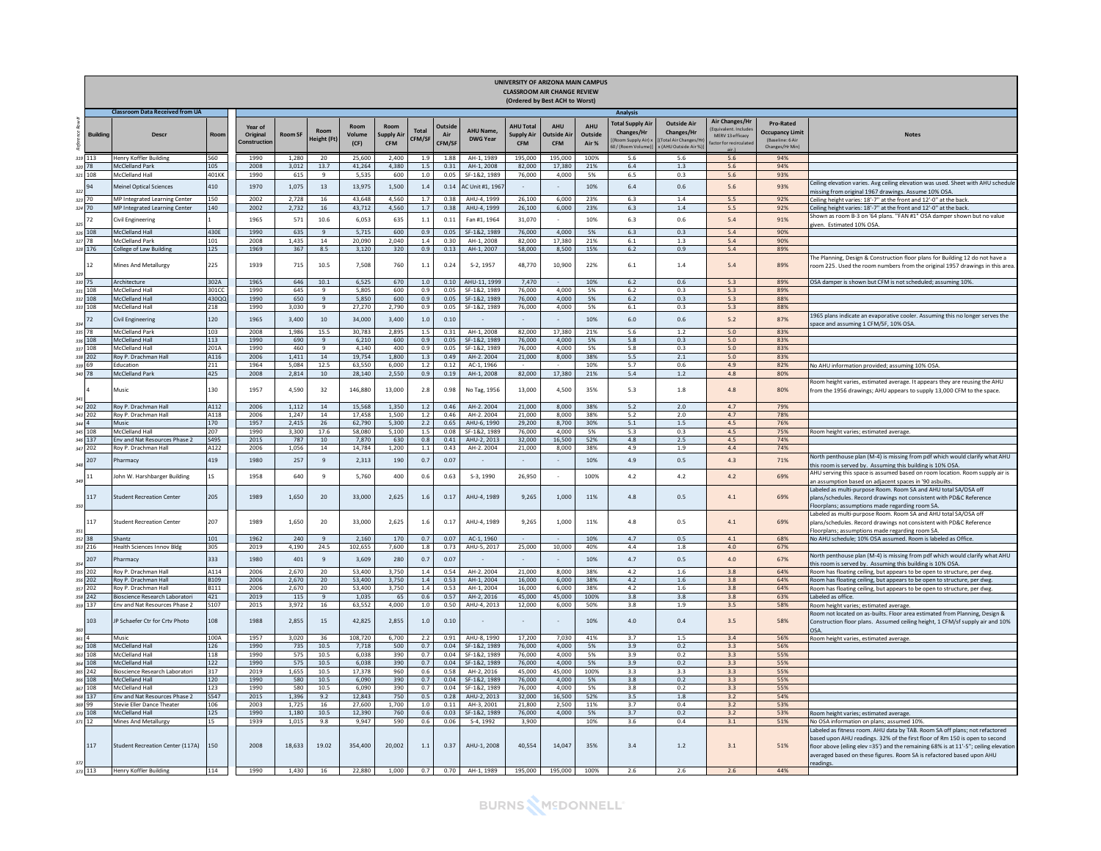|       |                    |                                                    |                     |                                    |                |                      |                        |                                 |                        |                                 |                              |                                                     | UNIVERSITY OF ARIZONA MAIN CAMPUS<br>CLASSROOM AIR CHANGE REVIEW<br>(Ordered by Best ACH to Worst) |                                |                                                                                |                                                                                      |                                                                                       |                                                                            |                                                                                                                                                                                                                                                                                                                                          |
|-------|--------------------|----------------------------------------------------|---------------------|------------------------------------|----------------|----------------------|------------------------|---------------------------------|------------------------|---------------------------------|------------------------------|-----------------------------------------------------|----------------------------------------------------------------------------------------------------|--------------------------------|--------------------------------------------------------------------------------|--------------------------------------------------------------------------------------|---------------------------------------------------------------------------------------|----------------------------------------------------------------------------|------------------------------------------------------------------------------------------------------------------------------------------------------------------------------------------------------------------------------------------------------------------------------------------------------------------------------------------|
|       |                    | <b>Classroom Data Received from UA</b>             |                     |                                    |                |                      |                        |                                 |                        |                                 |                              |                                                     |                                                                                                    |                                | <b>Analysis</b>                                                                |                                                                                      |                                                                                       |                                                                            |                                                                                                                                                                                                                                                                                                                                          |
| refe  | <b>Building</b>    | <b>Descr</b>                                       | Roon                | Year of<br>Original<br>Constructio | <b>Room SF</b> | Room<br>leight (F    | Room<br>Volume<br>(CF) | Room<br>Supply Ai<br><b>CFM</b> | <b>Total</b><br>CFM/SF | <b>Outside</b><br>Air<br>CFM/SF | AHU Name,<br><b>DWG Year</b> | <b>AHU Total</b><br><b>Supply Air</b><br><b>CFM</b> | <b>AHU</b><br>Dutside Ai<br><b>CFM</b>                                                             | <b>AHU</b><br>Outside<br>Air % | <b>Total Supply Air</b><br>Changes/Hr<br>(Room Supply Air):<br>0/(Room Volume) | <b>Outside Air</b><br><b>Changes/Hr</b><br>Fotal Air Changes/H<br>(AHU Outside Air % | <b>Air Changes/Hr</b><br>ivalent Include<br>MERV 13 efficacy<br>actor for recirculate | Pro-Rated<br><b>Occupancy Limit</b><br>(Baseline: 6 Air<br>Changes/Hr Min) | <b>Notes</b>                                                                                                                                                                                                                                                                                                                             |
|       | 319 113            | <b>Henry Koffler Building</b><br>McClelland Park   | 560<br>105          | 1990                               | 1,280<br>3.012 | 20<br>13.7           | 25,600<br>41.264       | 2,400<br>4.380                  | 1.9<br>1.5             | 1.88<br>0.31                    | AH-1, 1989<br>AH-1, 2008     | 195,000<br>82,000                                   | 195,000<br>17,380                                                                                  | 100%<br>21%                    | 5.6<br>6.4                                                                     | 5.6<br>1.3                                                                           | 5.6<br>5.6                                                                            | 94%<br>94%                                                                 |                                                                                                                                                                                                                                                                                                                                          |
|       | 320 78<br>321 108  | McClelland Hall                                    | 401KK               | 2008<br>1990                       | 615            | 9                    | 5.535                  | 600                             | 1.0                    | 0.05                            | SF-1&2, 1989                 | 76,000                                              | 4.000                                                                                              | 5%                             | 6.5                                                                            | 0.3                                                                                  | 5.6                                                                                   | 93%                                                                        |                                                                                                                                                                                                                                                                                                                                          |
|       |                    |                                                    |                     |                                    |                |                      |                        |                                 |                        |                                 |                              |                                                     |                                                                                                    |                                |                                                                                |                                                                                      |                                                                                       |                                                                            | Ceiling elevation varies. Avg ceiling elevation was used. Sheet with AHU schedule                                                                                                                                                                                                                                                        |
| 322   | 94                 | <b>Meinel Optical Sciences</b>                     | 410                 | 1970                               | 1.075          | 13                   | 13.975                 | 1.500                           | 1.4                    | 0.14                            | AC Unit #1, 196              |                                                     |                                                                                                    | 10%                            | 6.4                                                                            | 0.6                                                                                  | 5.6                                                                                   | 93%                                                                        | nissing from original 1967 drawings. Assume 10% OSA                                                                                                                                                                                                                                                                                      |
|       | 323 70             | MP Integrated Learning Center                      | 150                 | 2002                               | 2,728          | 16                   | 43.648                 | 4.560                           | 1.7                    | 0.38                            | AHU-4, 1999                  | 26,100                                              | 6,000                                                                                              | 23%                            | 6.3                                                                            | 1.4                                                                                  | 5.5                                                                                   | 92%                                                                        | Ceiling height varies: 18'-7" at the front and 12'-0" at the back                                                                                                                                                                                                                                                                        |
| 325   | 324 70<br>72       | MP Integrated Learning Center<br>Civil Engineering | 140                 | 2002<br>1965                       | 2,732<br>571   | 16<br>10.6           | 43,712<br>6.053        | 4,560<br>635                    | 1.7<br>1.1             | 0.38<br>0.11                    | AHU-4, 1999<br>Fan #1, 1964  | 26,100<br>31.070                                    | 6,000                                                                                              | 23%<br>10%                     | 6.3<br>6.3                                                                     | 1.4<br>0.6                                                                           | 5.5<br>5.4                                                                            | 92%<br>91%                                                                 | Ceiling height varies: 18'-7" at the front and 12'-0" at the back.<br>Shown as room B-3 on '64 plans. "FAN #1" OSA damper shown but no value<br>tiven. Estimated 10% OSA                                                                                                                                                                 |
|       | 326 108            | <b>McClelland Hall</b>                             | 430E                | 1990                               | 635            | $\alpha$             | 5,715                  | 600                             | 0.9                    | 0.05                            | SF-1&2, 1989                 | 76,000                                              | 4,000                                                                                              | 5%                             | 6.3                                                                            | 0.3                                                                                  | 5.4                                                                                   | 90%                                                                        |                                                                                                                                                                                                                                                                                                                                          |
|       | 327 78             | McClelland Park                                    | 101                 | 2008                               | 1.435          | 14                   | 20,090                 | 2.040                           | 1.4                    | 0.30                            | AH-1, 2008                   | 82,000                                              | 17.380                                                                                             | 21%                            | 6.1                                                                            | 1.3                                                                                  | 5.4                                                                                   | 90%                                                                        |                                                                                                                                                                                                                                                                                                                                          |
|       | 328 176            | College of Law Building                            | 125                 | 1969                               | 367            | 8.5                  | 3,120                  | 320                             | 0.9                    | 0.13                            | AH-1, 2007                   | 58,000                                              | 8,500                                                                                              | 15%                            | 6.2                                                                            | 0.9                                                                                  | 5.4                                                                                   | 89%                                                                        |                                                                                                                                                                                                                                                                                                                                          |
| 329   | 12                 | Mines And Metallurgy                               | 225                 | 1939                               | 715            | 10.5                 | 7,508                  | 760                             | $1.1\,$                | 0.24                            | S-2, 1957                    | 48,770                                              | 10,900                                                                                             | 22%                            | $6.1\,$                                                                        | $1.4\,$                                                                              | $5.4$                                                                                 | 89%                                                                        | he Planning, Design & Construction floor plans for Building 12 do not have a<br>oom 225. Used the room numbers from the original 1957 drawings in this area                                                                                                                                                                              |
|       | 330 75             | <b>chitecture</b>                                  | 302A                | 1965                               | 646            | 10.1                 | 6.525                  | 670                             | 1.0                    | 0.10                            | AHU-11, 1999                 | 7.470                                               |                                                                                                    | 10%                            | 6.2                                                                            | 0.6                                                                                  | 5.3                                                                                   | 89%                                                                        | OSA damper is shown but CFM is not scheduled; assuming 10%.                                                                                                                                                                                                                                                                              |
|       | 331 108            | McClelland Hall                                    | 30100               | 1990                               | 645            | 9                    | 5.805                  | 600                             | 0.9                    | 0.05                            | SE-1&2, 1989                 | 76.000                                              | 4.000                                                                                              | 5%                             | 6.2                                                                            | 0.3                                                                                  | 5.3                                                                                   | 89%                                                                        |                                                                                                                                                                                                                                                                                                                                          |
|       | 332 108            | <b>AcClelland Hall</b><br>McClelland Hall          | 430QC               | 1990<br>1990                       | 650<br>3,030   | 9<br>$\mathbf{q}$    | 5,850                  | 600<br>2,790                    | 0.9                    | 0.05<br>0.05                    | SF-1&2, 1989                 | 76,000<br>76,000                                    | 4,000<br>4,000                                                                                     | 5%<br>5%                       | 6.2                                                                            | 0.3                                                                                  | 5.3                                                                                   | 88%<br>88%                                                                 |                                                                                                                                                                                                                                                                                                                                          |
| 334   | 333 108<br>72      | ivil Engineering                                   | 218<br>120          | 1965                               | 3.400          | 10 <sup>10</sup>     | 27,270<br>34,000       | 3,400                           | 0.9<br>1.0             | 0.10                            | SF-1&2, 1989                 |                                                     |                                                                                                    | 10%                            | 6.1<br>6.0                                                                     | 0.3<br>0.6                                                                           | 5.3<br>5.2                                                                            | 87%                                                                        | .965 plans indicate an evaporative cooler. Assuming this no longer serves the<br>pace and assuming 1 CFM/SF, 10% OSA.                                                                                                                                                                                                                    |
|       | 335 78             | <b>McClelland Park</b>                             | 103                 | 2008                               | 1.986          | 15.5                 | 30.783                 | 2.895                           | 1.5                    | 0.31                            | AH-1, 2008                   | 82.000                                              | 17,380                                                                                             | 21%                            | 5.6                                                                            | 1.2                                                                                  | 5.0                                                                                   | 83%                                                                        |                                                                                                                                                                                                                                                                                                                                          |
|       | 336 108            | <b>McClelland Hall</b>                             | 113                 | 1990                               | 690            | $\overline{9}$       | 6.210                  | 600                             | 0.9                    | 0.05                            | SF-1&2, 1989                 | 76,000                                              | 4.000                                                                                              | 5%                             | 5.8                                                                            | 0.3                                                                                  | 5.0                                                                                   | 83%                                                                        |                                                                                                                                                                                                                                                                                                                                          |
|       | 337 108            | McClelland Hall                                    | 201A                | 1990                               | 460<br>1.411   | $\mathbf{q}$         | 4.140                  | 400                             | 0.9<br>1.3             | 0.05<br>0.49                    | SE-182.1989                  | 76,000                                              | 4.000                                                                                              | 5%                             | 5.8<br>5.5                                                                     | 0.3                                                                                  | 5.0                                                                                   | 83%                                                                        |                                                                                                                                                                                                                                                                                                                                          |
|       | 338 202<br>339 69  | Roy P. Drachman Hall<br><b>Education</b>           | A116<br>211         | 2006<br>1964                       | 5.084          | 14<br>12.5           | 19,754<br>63,550       | 1,800<br>6,000                  | 1.2                    | 0.12                            | AH-2.2004<br>AC-1, 1966      | 21,000                                              | 8,000                                                                                              | 38%<br>10%                     | 5.7                                                                            | 2.1<br>$0.6\,$                                                                       | 5.0<br>4.9                                                                            | 83%<br>82%                                                                 | No AHU information provided; assuming 10% OSA.                                                                                                                                                                                                                                                                                           |
|       | 340 78             | McClelland Park                                    | 425                 | 2008                               | 2,814          | 10                   | 28,140                 | 2,550                           | 0.9                    | 0.19                            | AH-1, 2008                   | 82,000                                              | 17,380                                                                                             | 21%                            | 5.4                                                                            | 1.2                                                                                  | 4.8                                                                                   | 80%                                                                        |                                                                                                                                                                                                                                                                                                                                          |
| 341   |                    | Music                                              | 130                 | 1957                               | 4,590          | 32                   | 146,880                | 13,000                          | 2.8                    | 0.98                            | No Tag, 1956                 | 13,000                                              | 4,500                                                                                              | 35%                            | 5.3                                                                            | $1.8\,$                                                                              | 4.8                                                                                   | 80%                                                                        | Room height varies, estimated average. It appears they are reusing the AHU<br>from the 1956 drawings; AHU appears to supply 13,000 CFM to the space.                                                                                                                                                                                     |
|       | 342 202            | Roy P. Drachman Hall                               | A112                | 2006                               | 1.112          | 14                   | 15.568                 | 1,350                           | 1.2                    | 0.46                            | AH-2.2004                    | 21,000                                              | 8.000                                                                                              | 38%                            | 5.2                                                                            | 2.0                                                                                  | 4.7                                                                                   | 79%                                                                        |                                                                                                                                                                                                                                                                                                                                          |
|       | 343 202            | Roy P. Drachman Hall                               | A118                | 2006                               | 1,247          | 14                   | 17,458                 | 1,500                           | 1.2                    | 0.46                            | AH-2.2004                    | 21,000                                              | 8,000                                                                                              | 38%                            | 5.2                                                                            | 2.0                                                                                  | 4.7                                                                                   | 78%                                                                        |                                                                                                                                                                                                                                                                                                                                          |
| 344 4 |                    | Music                                              | 170                 | 1957                               | 2.415          | 26                   | 62.790                 | 5.300                           | 2.2                    | 0.65                            | AHU-6, 1990                  | 29,200                                              | 8.700                                                                                              | 30%                            | 5.1                                                                            | 1.5                                                                                  | 4.5                                                                                   | 76%                                                                        |                                                                                                                                                                                                                                                                                                                                          |
|       | 345 108<br>346 137 | McClelland Hall<br>Inv and Nat Resources Phase 2   | 207<br>S495         | 1990<br>2015                       | 3,300<br>787   | 17.6<br>10           | 58,080<br>7,870        | 5,100<br>630                    | 1.5<br>0.8             | 0.08<br>0.41                    | SF-1&2, 1989<br>AHU-2, 2013  | 76,000<br>32,000                                    | 4.000<br>16,500                                                                                    | 5%<br>52%                      | 5.3<br>4.8                                                                     | 0.3<br>2.5                                                                           | 4.5<br>4.5                                                                            | 75%<br>74%                                                                 | Room height varies; estimated average                                                                                                                                                                                                                                                                                                    |
|       | 347 202            | Roy P. Drachman Hall                               | A122                | 2006                               | 1,056          | 14                   | 14,784                 | 1,200                           | 1.1                    | 0.43                            | AH-2, 2004                   | 21,000                                              | 8.000                                                                                              | 38%                            | 4.9                                                                            | 1.9                                                                                  | 4.4                                                                                   | 74%                                                                        |                                                                                                                                                                                                                                                                                                                                          |
| 348   | 207                | harmacy                                            | 419                 | 1980                               | 257            | 9                    | 2,313                  | 190                             | 0.7                    | 0.07                            | $\sim$                       | $\sim$                                              |                                                                                                    | 10%                            | 4.9                                                                            | 0.5                                                                                  | 4.3                                                                                   | 71%                                                                        | Vorth penthouse plan (M-4) is missing from pdf which would clarify what AHU<br>this room is served by. Assuming this building is 10% OSA.                                                                                                                                                                                                |
| 349   | 11                 | Iohn W. Harshbarger Building                       | 1S                  | 1958                               | 640            | 9                    | 5.760                  | 400                             | 0.6                    | 0.63                            | S-3, 1990                    | 26,950                                              | ٠                                                                                                  | 100%                           | 4.2                                                                            | 4.2                                                                                  | 4.2                                                                                   | 69%                                                                        | AHU serving this space is assumed based on room location. Room supply air is<br>an assumption based on adjacent spaces in '90 asbuilts                                                                                                                                                                                                   |
| 350   | 117                | <b>Student Recreation Center</b>                   | 205                 | 1989                               | 1,650          | 20                   | 33,000                 | 2,625                           | 1.6                    | 0.17                            | AHU-4, 1989                  | 9,265                                               | 1,000                                                                                              | 11%                            | 4.8                                                                            | 0.5                                                                                  | 4.1                                                                                   | 69%                                                                        | Labeled as multi-purpose Room. Room SA and AHU total SA/OSA off<br>plans/schedules. Record drawings not consistent with PD&C Reference<br>Floorplans; assumptions made regarding room SA.<br>Labeled as multi-purpose Room. Room SA and AHU total SA/OSA off                                                                             |
| 351   | 117<br>352 38      | <b>Student Recreation Center</b><br>Shantz         | 207<br>101          | 1989<br>1962                       | 1,650<br>240   | 20<br>$\overline{9}$ | 33,000<br>2,160        | 2,625<br>170                    | 1.6<br>0.7             | 0.17<br>0.07                    | AHU-4, 1989<br>AC-1, 1960    | 9,265                                               | 1,000                                                                                              | 11%<br>10%                     | 4.8<br>4.7                                                                     | 0.5<br>0.5                                                                           | 4.1<br>4.1                                                                            | 69%<br>68%                                                                 | plans/schedules. Record drawings not consistent with PD&C Reference<br>loorplans; assumptions made regarding room SA<br>No AHU schedule; 10% OSA assumed. Room is labeled as Office.                                                                                                                                                     |
|       | 353 216            | <b>Health Sciences Innov Bldg</b>                  | 305                 | 2019                               | 4,190          | 24.5                 | 102,655                | 7,600                           | 1.8                    | 0.73                            | AHU-5, 2017                  | 25,000                                              | 10,000                                                                                             | 40%                            | 4.4                                                                            | 1.8                                                                                  | 4.0                                                                                   | 67%                                                                        |                                                                                                                                                                                                                                                                                                                                          |
| 354   | 207                | harmacy                                            | 333                 | 1980                               | 401            | $\,9$                | 3,609                  | 280                             | 0.7                    | 0.07                            |                              |                                                     |                                                                                                    | 10%                            | 4.7                                                                            | 0.5                                                                                  | $4.0$                                                                                 | 67%                                                                        | North penthouse plan (M-4) is missing from pdf which would clarify what AHU<br>his room is served by. Assuming this building is 10% OSA                                                                                                                                                                                                  |
|       | 355 202            | Roy P. Drachman Hall                               | A114<br><b>B109</b> | 2006                               | 2,670          | 20<br>20             | 53,400                 | 3,750                           | 1.4<br>1.4             | 0.54<br>0.53                    | AH-2.2004                    | 21,000                                              | 8,000<br>6.000                                                                                     | 38%<br>38%                     | 4.2<br>4.2                                                                     | 1.6<br>1.6                                                                           | 3.8                                                                                   | 64%<br>64%                                                                 | Room has floating ceiling, but appears to be open to structure, per dwg.                                                                                                                                                                                                                                                                 |
|       | 356 202<br>357 202 | Roy P. Drachman Hall<br>Rov P. Drachman Hall       | <b>B111</b>         | 2006<br>2006                       | 2,670<br>2.670 | 20                   | 53,400<br>53,400       | 3,750<br>3,750                  | 1.4                    | 0.53                            | AH-1, 2004<br>AH-1, 2004     | 16,000<br>16,000                                    | 6.000                                                                                              | 38%                            | 4.2                                                                            | 1.6                                                                                  | $3.8\,$<br>3.8                                                                        | 64%                                                                        | Room has floating ceiling, but appears to be open to structure, per dwg.                                                                                                                                                                                                                                                                 |
|       | 358 242            | lioscience Research Laboratori                     | 421                 | 2019                               | 115            | 9                    | 1,035                  | 65                              | $0.6\,$                | 0.57                            | AH-2, 2016                   | 45,000                                              | 45,000                                                                                             | 100%                           | 3.8                                                                            | 3.8                                                                                  | 3.8                                                                                   | 63%                                                                        | Room has floating ceiling, but appears to be open to structure, per dwg.<br>Labeled as office.                                                                                                                                                                                                                                           |
|       | 359 137            | <b>Fny and Nat Resources Phase 2</b>               | \$107               | 2015                               | 3.972          | 16                   | 63.552                 | 4.000                           | 1.0                    | 0.50                            | AHU-4, 2013                  | 12,000                                              | 6.000                                                                                              | 50%                            | 3.8                                                                            | 1.9                                                                                  | 3.5                                                                                   | 58%                                                                        | Room height varies; estimated average<br>Room not located on as-builts. Floor area estimated from Planning, Design &                                                                                                                                                                                                                     |
| 360   | 103                | IP Schaefer Ctr for Crty Photo<br>Music            | 108<br>100A         | 1988<br>1957                       | 2.855          | 15                   | 42.825                 | 2.855                           | 1.0<br>2.2             | 0.10                            |                              |                                                     |                                                                                                    | 10%<br>41%                     | 4.0<br>3.7                                                                     | 0.4<br>1.5                                                                           | 3.5<br>3.4                                                                            | 58%<br>56%                                                                 | Construction floor plans. Assumed ceiling height, 1 CFM/sf supply air and 10%<br><b>OSA</b>                                                                                                                                                                                                                                              |
| 361 4 | 362 108            | McClelland Hall                                    | 126                 | 1990                               | 3,020<br>735   | 36<br>10.5           | 108,720<br>7,718       | 6,700<br>500                    | 0.7                    | 0.91<br>0.04                    | AHU-8, 1990<br>SF-1&2, 1989  | 17,200<br>76,000                                    | 7,030<br>4,000                                                                                     | 5%                             | 3.9                                                                            | 0.2                                                                                  | 3.3                                                                                   | 56%                                                                        | Room height varies, estimated average.                                                                                                                                                                                                                                                                                                   |
|       | 363 108            | McClelland Hall                                    | 118                 | 1990                               | 575            | 10.5                 | 6,038                  | 390                             | 0.7                    | 0.04                            | SF-1&2, 1989                 | 76,000                                              | 4,000                                                                                              | 5%                             | 3.9                                                                            | 0.2                                                                                  | 3.3                                                                                   | 55%                                                                        |                                                                                                                                                                                                                                                                                                                                          |
|       | 364 108            | McClelland Hall                                    | 122                 | 1990                               | 575            | 10.5                 | 6.038                  | 390                             | 0.7                    | 0.04                            | SF-1&2, 1989                 | 76.000                                              | 4.000                                                                                              | 5%                             | 3.9                                                                            | 0.2                                                                                  | 3.3                                                                                   | 55%                                                                        |                                                                                                                                                                                                                                                                                                                                          |
|       | 365 242            | Bioscience Research Laboratori                     | 317                 | 2019                               | 1,655          | 10.5                 | 17,378                 | 960                             | 0.6                    | 0.58                            | AH-2, 2016                   | 45,000                                              | 45,000                                                                                             | 100%                           | 3.3                                                                            | 3.3                                                                                  | 3.3                                                                                   | 55%                                                                        |                                                                                                                                                                                                                                                                                                                                          |
|       | 366 108            | <b>McClelland Hall</b>                             | 120                 | 1990                               | 580            | 10.5                 | 6,090                  | 390                             | 0.7                    | 0.04                            | SF-1&2, 1989                 | 76,000                                              | 4,000                                                                                              | 5%                             | 3.8                                                                            | 0.2                                                                                  | 3.3                                                                                   | 55%                                                                        |                                                                                                                                                                                                                                                                                                                                          |
|       | 367 108<br>368 137 | McClelland Hall<br>Env and Nat Resources Phase 2   | 123<br>S547         | 1990<br>2015                       | 580<br>1.396   | 10.5<br>9.2          | 6,090<br>12,843        | 390<br>750                      | 0.7<br>0.5             | 0.04<br>0.28                    | SF-1&2, 1989<br>AHU-2, 2013  | 76,000<br>32,000                                    | 4.000<br>16,500                                                                                    | 5%<br>52%                      | 3.8<br>3.5                                                                     | 0.2<br>$1.8\,$                                                                       | 3.3<br>3.2                                                                            | 55%<br>54%                                                                 |                                                                                                                                                                                                                                                                                                                                          |
|       | 369 99             | tevie Eller Dance Theater                          | 106                 | 2003                               | 1.725          | 16                   | 27,600                 | 1,700                           | 1.0                    | 0.11                            | AH-3, 2001                   | 21.800                                              | 2.500                                                                                              | 11%                            | 3.7                                                                            | 0.4                                                                                  | 3.2                                                                                   | 53%                                                                        |                                                                                                                                                                                                                                                                                                                                          |
|       | 370 108            | McClelland Hall                                    | 125                 | 1990                               | 1,180          | 10.5                 | 12,390                 | 760                             | 0.6                    | 0.03                            | SF-1&2, 1989                 | 76,000                                              | 4,000                                                                                              | 5%                             | 3.7                                                                            | 0.2                                                                                  | 3.2                                                                                   | 53%                                                                        | toom height varies; estimated average                                                                                                                                                                                                                                                                                                    |
|       | $371$ $12$         | Mines And Metallurgy                               | 15                  | 1939                               | 1.015          | 9.8                  | 9.947                  | 590                             | 0.6                    | 0.06                            | S-4, 1992                    | 3,900                                               |                                                                                                    | 10%                            | 3.6                                                                            | 0.4                                                                                  | 3.1                                                                                   | 51%                                                                        | No OSA information on plans: assumed 10%                                                                                                                                                                                                                                                                                                 |
| 372   | 117                | Student Recreation Center (117A)                   | 150                 | 2008                               | 18.633         | 19.02                | 354,400                | 20,002                          | 1.1                    | 0.37                            | AHU-1, 2008                  | 40.554                                              | 14.047                                                                                             | 35%                            | 3.4                                                                            | $1.2\,$                                                                              | 3.1                                                                                   | 51%                                                                        | Labeled as fitness room. AHU data by TAB. Room SA off plans; not refactored<br>based upon AHU readings. 32% of the first floor of Rm 150 is open to second<br>floor above (eiling elev =35') and the remaining 68% is at 11'-5"; ceiling elevation<br>iveraged based on these figures. Room SA is refactored based upon AHU<br>readings. |
|       | 373 113            | Henry Koffler Building                             | 114                 | 1990                               | 1,430          | 16                   | 22.880                 | 1,000                           | 0.7                    | 0.70                            | AH-1, 1989                   | 195,000                                             | 195,000                                                                                            | 100%                           | 2.6                                                                            | 2.6                                                                                  | 2.6                                                                                   | 44%                                                                        |                                                                                                                                                                                                                                                                                                                                          |